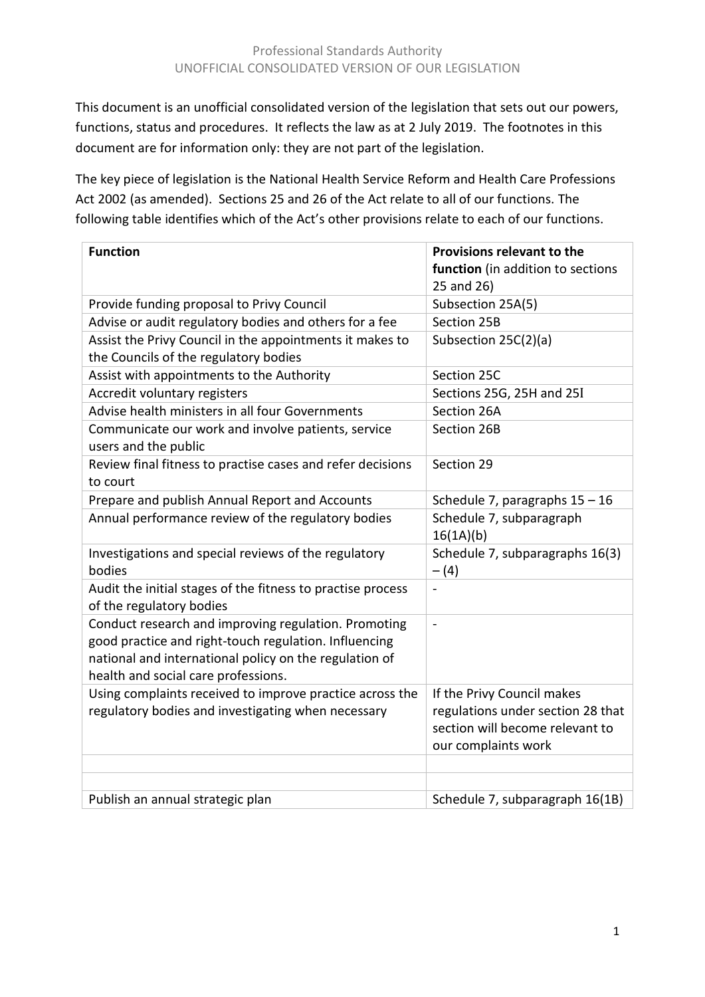This document is an unofficial consolidated version of the legislation that sets out our powers, functions, status and procedures. It reflects the law as at 2 July 2019. The footnotes in this document are for information only: they are not part of the legislation.

The key piece of legislation is the National Health Service Reform and Health Care Professions Act 2002 (as amended). Sections 25 and 26 of the Act relate to all of our functions. The following table identifies which of the Act's other provisions relate to each of our functions.

| <b>Function</b>                                                                                                                                                                                                | Provisions relevant to the<br>function (in addition to sections                                                           |
|----------------------------------------------------------------------------------------------------------------------------------------------------------------------------------------------------------------|---------------------------------------------------------------------------------------------------------------------------|
|                                                                                                                                                                                                                | 25 and 26)                                                                                                                |
| Provide funding proposal to Privy Council                                                                                                                                                                      | Subsection 25A(5)                                                                                                         |
| Advise or audit regulatory bodies and others for a fee                                                                                                                                                         | Section 25B                                                                                                               |
| Assist the Privy Council in the appointments it makes to<br>the Councils of the regulatory bodies                                                                                                              | Subsection 25C(2)(a)                                                                                                      |
| Assist with appointments to the Authority                                                                                                                                                                      | Section 25C                                                                                                               |
| Accredit voluntary registers                                                                                                                                                                                   | Sections 25G, 25H and 25I                                                                                                 |
| Advise health ministers in all four Governments                                                                                                                                                                | Section 26A                                                                                                               |
| Communicate our work and involve patients, service<br>users and the public                                                                                                                                     | Section 26B                                                                                                               |
| Review final fitness to practise cases and refer decisions<br>to court                                                                                                                                         | Section 29                                                                                                                |
| Prepare and publish Annual Report and Accounts                                                                                                                                                                 | Schedule 7, paragraphs $15 - 16$                                                                                          |
| Annual performance review of the regulatory bodies                                                                                                                                                             | Schedule 7, subparagraph<br>16(1A)(b)                                                                                     |
| Investigations and special reviews of the regulatory<br>bodies                                                                                                                                                 | Schedule 7, subparagraphs 16(3)<br>$- (4)$                                                                                |
| Audit the initial stages of the fitness to practise process<br>of the regulatory bodies                                                                                                                        |                                                                                                                           |
| Conduct research and improving regulation. Promoting<br>good practice and right-touch regulation. Influencing<br>national and international policy on the regulation of<br>health and social care professions. | $\blacksquare$                                                                                                            |
| Using complaints received to improve practice across the<br>regulatory bodies and investigating when necessary                                                                                                 | If the Privy Council makes<br>regulations under section 28 that<br>section will become relevant to<br>our complaints work |
|                                                                                                                                                                                                                |                                                                                                                           |
|                                                                                                                                                                                                                |                                                                                                                           |
| Publish an annual strategic plan                                                                                                                                                                               | Schedule 7, subparagraph 16(1B)                                                                                           |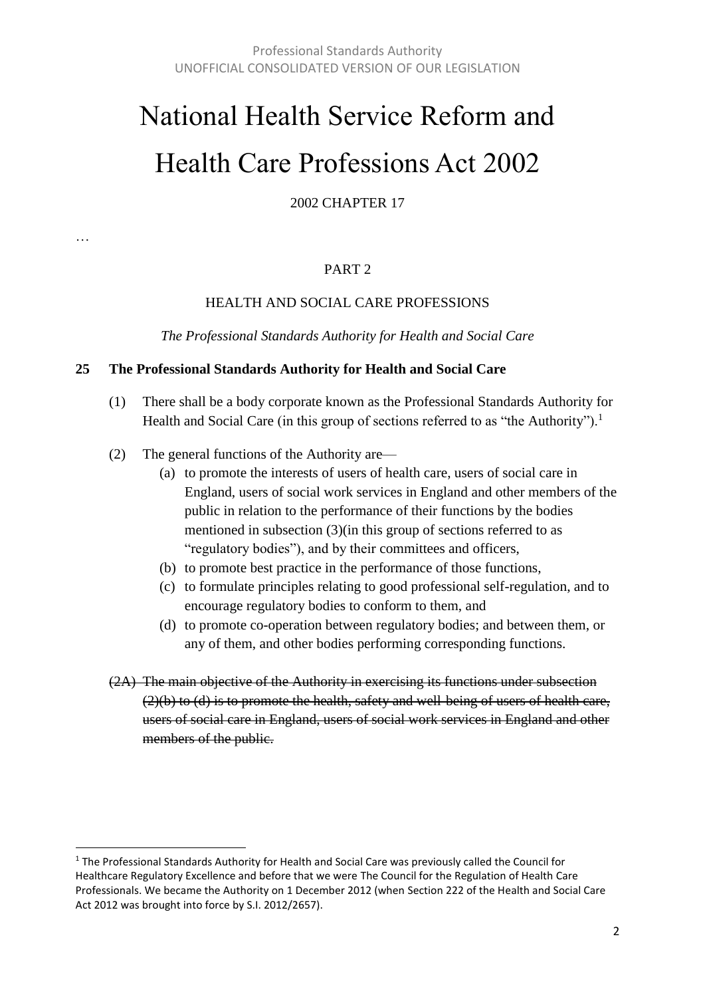# National Health Service Reform and Health Care Professions Act 2002

2002 CHAPTER 17

#### PART 2

#### HEALTH AND SOCIAL CARE PROFESSIONS

*The Professional Standards Authority for Health and Social Care*

#### **25 The Professional Standards Authority for Health and Social Care**

- (1) There shall be a body corporate known as the Professional Standards Authority for Health and Social Care (in this group of sections referred to as "the Authority").<sup>1</sup>
- (2) The general functions of the Authority are—

…

 $\overline{a}$ 

- (a) to promote the interests of users of health care, users of social care in England, users of social work services in England and other members of the public in relation to the performance of their functions by the bodies mentioned in subsection (3)(in this group of sections referred to as "regulatory bodies"), and by their committees and officers,
- (b) to promote best practice in the performance of those functions,
- (c) to formulate principles relating to good professional self-regulation, and to encourage regulatory bodies to conform to them, and
- (d) to promote co-operation between regulatory bodies; and between them, or any of them, and other bodies performing corresponding functions.
- (2A) The main objective of the Authority in exercising its functions under subsection  $(2)(b)$  to  $(d)$  is to promote the health, safety and well-being of users of health care, users of social care in England, users of social work services in England and other members of the public.

 $1$  The Professional Standards Authority for Health and Social Care was previously called the Council for Healthcare Regulatory Excellence and before that we were The Council for the Regulation of Health Care Professionals. We became the Authority on 1 December 2012 (when Section 222 of the Health and Social Care Act 2012 was brought into force by S.I. 2012/2657).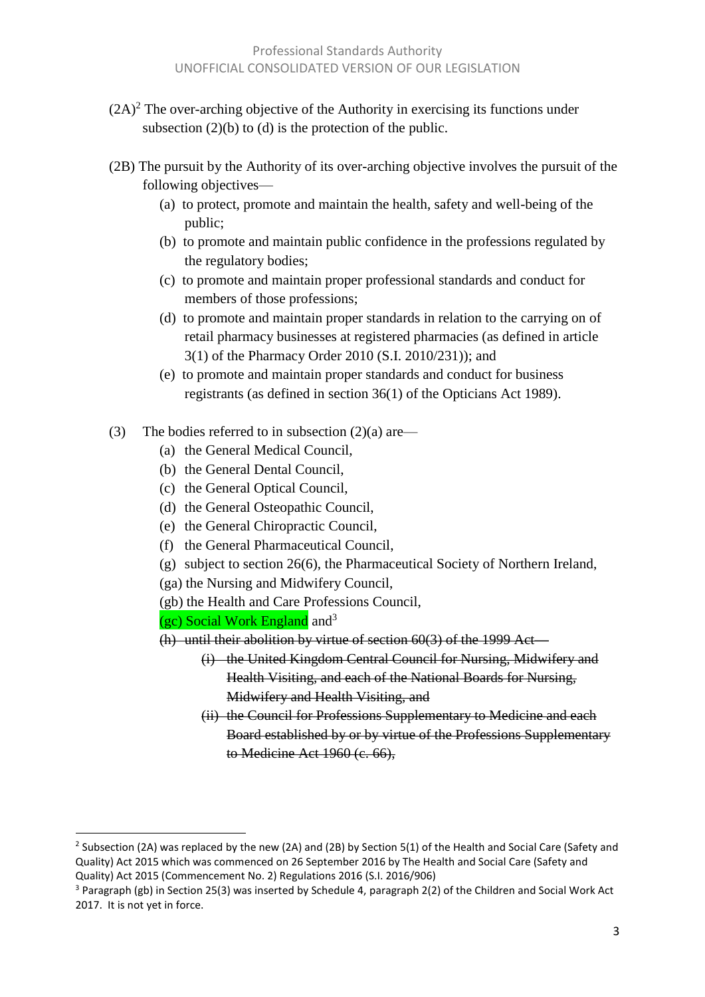- $(2A)^2$  The over-arching objective of the Authority in exercising its functions under subsection  $(2)(b)$  to  $(d)$  is the protection of the public.
- (2B) The pursuit by the Authority of its over-arching objective involves the pursuit of the following objectives—
	- (a) to protect, promote and maintain the health, safety and well-being of the public;
	- (b) to promote and maintain public confidence in the professions regulated by the regulatory bodies;
	- (c) to promote and maintain proper professional standards and conduct for members of those professions;
	- (d) to promote and maintain proper standards in relation to the carrying on of retail pharmacy businesses at registered pharmacies (as defined in article 3(1) of the Pharmacy Order 2010 (S.I. 2010/231)); and
	- (e) to promote and maintain proper standards and conduct for business registrants (as defined in section 36(1) of the Opticians Act 1989).
- (3) The bodies referred to in subsection  $(2)(a)$  are—
	- (a) the General Medical Council,
	- (b) the General Dental Council,
	- (c) the General Optical Council,
	- (d) the General Osteopathic Council,
	- (e) the General Chiropractic Council,
	- (f) the General Pharmaceutical Council,
	- (g) subject to section 26(6), the Pharmaceutical Society of Northern Ireland,
	- (ga) the Nursing and Midwifery Council,
	- (gb) the Health and Care Professions Council,
	- (gc) Social Work England and<sup>3</sup>

- (h) until their abolition by virtue of section  $60(3)$  of the 1999 Act—
	- (i) the United Kingdom Central Council for Nursing, Midwifery and Health Visiting, and each of the National Boards for Nursing, Midwifery and Health Visiting, and
	- (ii) the Council for Professions Supplementary to Medicine and each Board established by or by virtue of the Professions Supplementary to Medicine Act 1960 (c. 66),

<sup>&</sup>lt;sup>2</sup> Subsection (2A) was replaced by the new (2A) and (2B) by Section 5(1) of the Health and Social Care (Safety and Quality) Act 2015 which was commenced on 26 September 2016 by The Health and Social Care (Safety and Quality) Act 2015 (Commencement No. 2) Regulations 2016 (S.I. 2016/906)

 $3$  Paragraph (gb) in Section 25(3) was inserted by Schedule 4, paragraph 2(2) of the Children and Social Work Act 2017. It is not yet in force.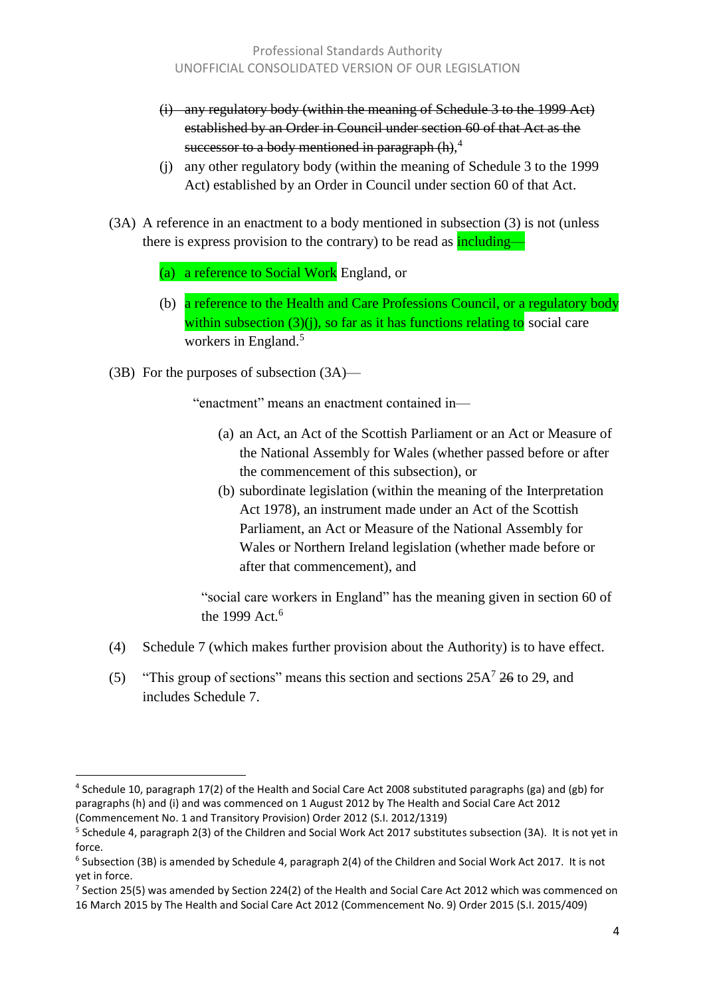- (i) any regulatory body (within the meaning of Schedule 3 to the 1999 Act) established by an Order in Council under section 60 of that Act as the successor to a body mentioned in paragraph  $(h)$ ,<sup>4</sup>
- (j) any other regulatory body (within the meaning of Schedule 3 to the 1999 Act) established by an Order in Council under section 60 of that Act.
- (3A) A reference in an enactment to a body mentioned in subsection (3) is not (unless there is express provision to the contrary) to be read as **including—** 
	- (a) a reference to Social Work England, or
	- (b) a reference to the Health and Care Professions Council, or a regulatory body within subsection  $(3)(i)$ , so far as it has functions relating to social care workers in England.<sup>5</sup>
- (3B) For the purposes of subsection (3A)—

l

"enactment" means an enactment contained in—

- (a) an Act, an Act of the Scottish Parliament or an Act or Measure of the National Assembly for Wales (whether passed before or after the commencement of this subsection), or
- (b) subordinate legislation (within the meaning of the Interpretation Act 1978), an instrument made under an Act of the Scottish Parliament, an Act or Measure of the National Assembly for Wales or Northern Ireland legislation (whether made before or after that commencement), and

"social care workers in England" has the meaning given in section 60 of the 1999 Act.<sup>6</sup>

- (4) Schedule 7 (which makes further provision about the Authority) is to have effect.
- (5) "This group of sections" means this section and sections  $25A^7$  26 to 29, and includes Schedule 7.

<sup>&</sup>lt;sup>4</sup> Schedule 10, paragraph 17(2) of the Health and Social Care Act 2008 substituted paragraphs (ga) and (gb) for paragraphs (h) and (i) and was commenced on 1 August 2012 by The Health and Social Care Act 2012 (Commencement No. 1 and Transitory Provision) Order 2012 (S.I. 2012/1319)

<sup>&</sup>lt;sup>5</sup> Schedule 4, paragraph 2(3) of the Children and Social Work Act 2017 substitutes subsection (3A). It is not yet in force.

 $^6$  Subsection (3B) is amended by Schedule 4, paragraph 2(4) of the Children and Social Work Act 2017. It is not yet in force.

<sup>&</sup>lt;sup>7</sup> Section 25(5) was amended by Section 224(2) of the Health and Social Care Act 2012 which was commenced on 16 March 2015 by The Health and Social Care Act 2012 (Commencement No. 9) Order 2015 (S.I. 2015/409)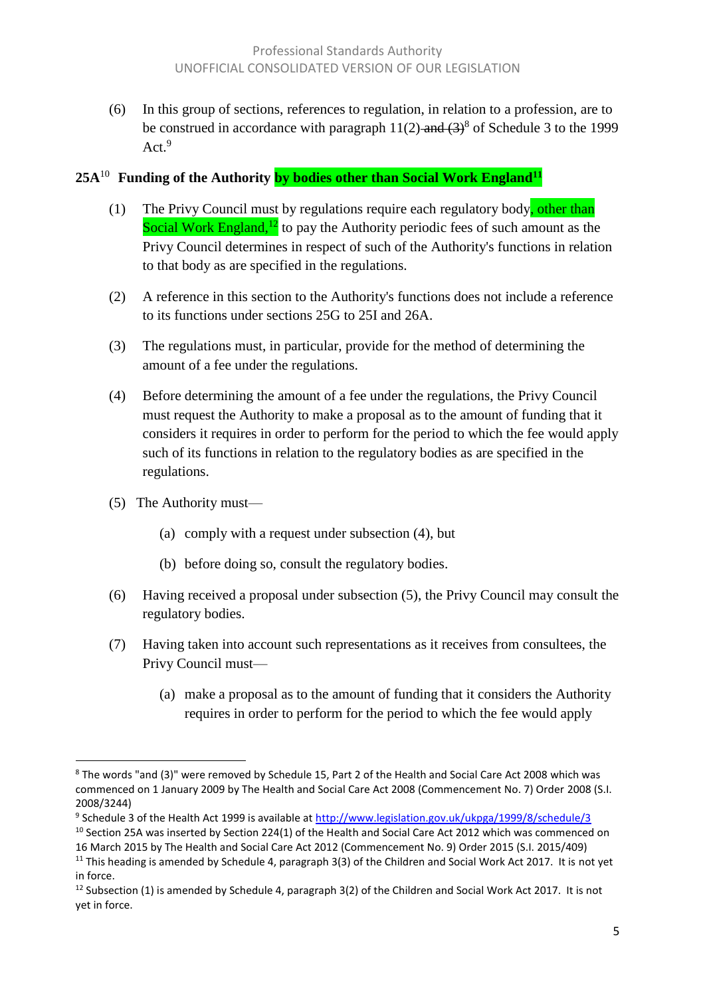(6) In this group of sections, references to regulation, in relation to a profession, are to be construed in accordance with paragraph  $11(2)$ -and  $(3)^8$  of Schedule 3 to the 1999 Act.<sup>9</sup>

#### **25A**<sup>10</sup> **Funding of the Authority by bodies other than Social Work England<sup>11</sup>**

- (1) The Privy Council must by regulations require each regulatory body, other than Social Work England,<sup>12</sup> to pay the Authority periodic fees of such amount as the Privy Council determines in respect of such of the Authority's functions in relation to that body as are specified in the regulations.
- (2) A reference in this section to the Authority's functions does not include a reference to its functions under sections 25G to 25I and 26A.
- (3) The regulations must, in particular, provide for the method of determining the amount of a fee under the regulations.
- (4) Before determining the amount of a fee under the regulations, the Privy Council must request the Authority to make a proposal as to the amount of funding that it considers it requires in order to perform for the period to which the fee would apply such of its functions in relation to the regulatory bodies as are specified in the regulations.
- (5) The Authority must—
	- (a) comply with a request under subsection (4), but
	- (b) before doing so, consult the regulatory bodies.
- (6) Having received a proposal under subsection (5), the Privy Council may consult the regulatory bodies.
- (7) Having taken into account such representations as it receives from consultees, the Privy Council must—
	- (a) make a proposal as to the amount of funding that it considers the Authority requires in order to perform for the period to which the fee would apply

 $\overline{a}$ <sup>8</sup> The words "and (3)" were removed by Schedule 15, Part 2 of the Health and Social Care Act 2008 which was commenced on 1 January 2009 by The Health and Social Care Act 2008 (Commencement No. 7) Order 2008 (S.I. 2008/3244)

<sup>&</sup>lt;sup>9</sup> Schedule 3 of the Health Act 1999 is available at <u>http://www.legislation.gov.uk/ukpga/1999/8/schedule/3</u>

 $10$  Section 25A was inserted by Section 224(1) of the Health and Social Care Act 2012 which was commenced on 16 March 2015 by The Health and Social Care Act 2012 (Commencement No. 9) Order 2015 (S.I. 2015/409)

<sup>&</sup>lt;sup>11</sup> This heading is amended by Schedule 4, paragraph  $3(3)$  of the Children and Social Work Act 2017. It is not yet in force.

 $12$  Subsection (1) is amended by Schedule 4, paragraph 3(2) of the Children and Social Work Act 2017. It is not yet in force.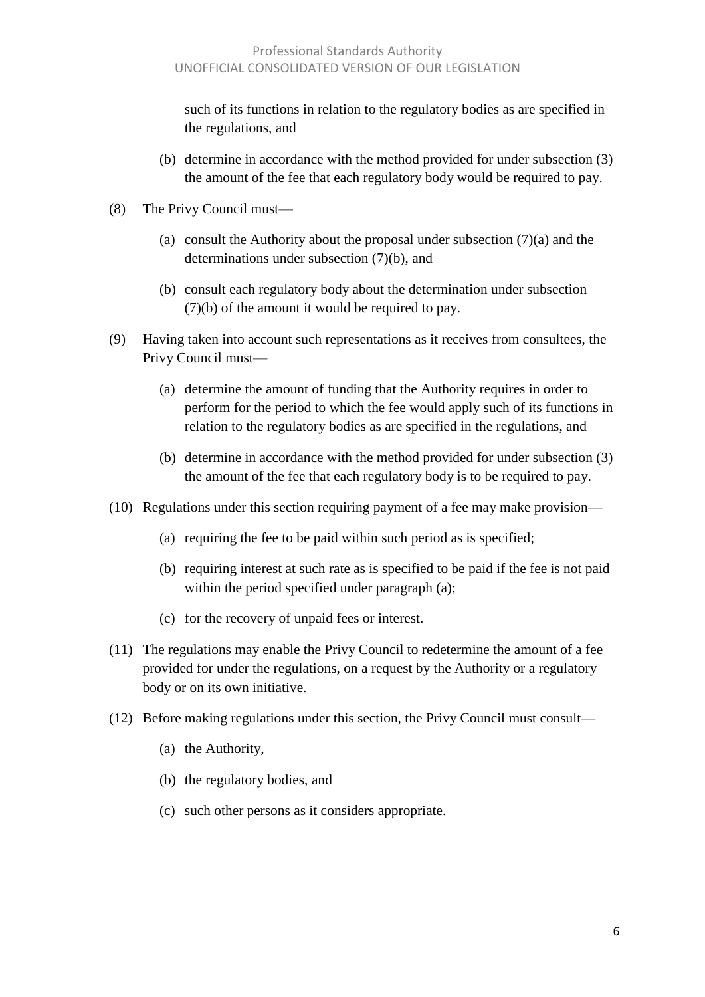such of its functions in relation to the regulatory bodies as are specified in the regulations, and

- (b) determine in accordance with the method provided for under subsection (3) the amount of the fee that each regulatory body would be required to pay.
- (8) The Privy Council must—
	- (a) consult the Authority about the proposal under subsection (7)(a) and the determinations under subsection (7)(b), and
	- (b) consult each regulatory body about the determination under subsection (7)(b) of the amount it would be required to pay.
- (9) Having taken into account such representations as it receives from consultees, the Privy Council must—
	- (a) determine the amount of funding that the Authority requires in order to perform for the period to which the fee would apply such of its functions in relation to the regulatory bodies as are specified in the regulations, and
	- (b) determine in accordance with the method provided for under subsection (3) the amount of the fee that each regulatory body is to be required to pay.
- (10) Regulations under this section requiring payment of a fee may make provision—
	- (a) requiring the fee to be paid within such period as is specified;
	- (b) requiring interest at such rate as is specified to be paid if the fee is not paid within the period specified under paragraph (a);
	- (c) for the recovery of unpaid fees or interest.
- (11) The regulations may enable the Privy Council to redetermine the amount of a fee provided for under the regulations, on a request by the Authority or a regulatory body or on its own initiative.
- (12) Before making regulations under this section, the Privy Council must consult—
	- (a) the Authority,
	- (b) the regulatory bodies, and
	- (c) such other persons as it considers appropriate.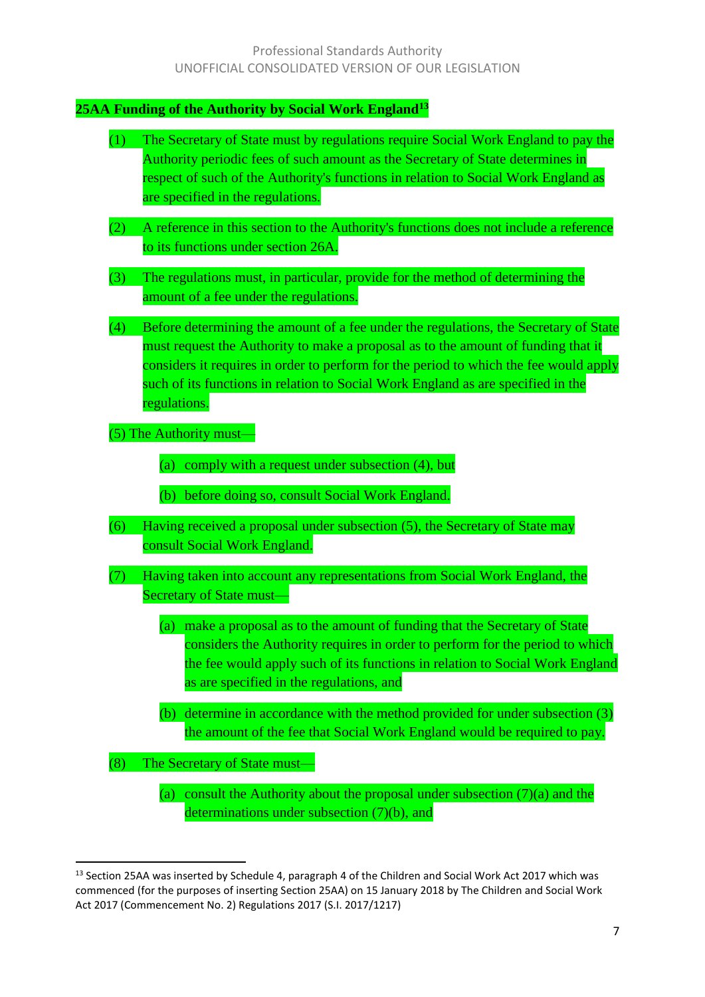#### **25AA Funding of the Authority by Social Work England<sup>13</sup>**

| (1)<br>The Secretary of State must by regulations require Social Work England to pay the<br>Authority periodic fees of such amount as the Secretary of State determines in<br>respect of such of the Authority's functions in relation to Social Work England as<br>are specified in the regulations.                                                                         |  |
|-------------------------------------------------------------------------------------------------------------------------------------------------------------------------------------------------------------------------------------------------------------------------------------------------------------------------------------------------------------------------------|--|
| A reference in this section to the Authority's functions does not include a reference<br>(2)<br>to its functions under section 26A.                                                                                                                                                                                                                                           |  |
| The regulations must, in particular, provide for the method of determining the<br>(3)<br>amount of a fee under the regulations.                                                                                                                                                                                                                                               |  |
| (4)<br>Before determining the amount of a fee under the regulations, the Secretary of State<br>must request the Authority to make a proposal as to the amount of funding that it<br>considers it requires in order to perform for the period to which the fee would apply<br>such of its functions in relation to Social Work England as are specified in the<br>regulations. |  |
| $(5)$ The Authority must-                                                                                                                                                                                                                                                                                                                                                     |  |
| comply with a request under subsection (4), but<br>(a)                                                                                                                                                                                                                                                                                                                        |  |
| before doing so, consult Social Work England.<br>(b)                                                                                                                                                                                                                                                                                                                          |  |
| (6)<br>Having received a proposal under subsection (5), the Secretary of State may<br>consult Social Work England.                                                                                                                                                                                                                                                            |  |
| (7)<br>Having taken into account any representations from Social Work England, the<br><b>Secretary of State must-</b>                                                                                                                                                                                                                                                         |  |
| (a) make a proposal as to the amount of funding that the Secretary of State<br>considers the Authority requires in order to perform for the period to which<br>the fee would apply such of its functions in relation to Social Work England<br>as are specified in the regulations, and                                                                                       |  |
| (b) determine in accordance with the method provided for under subsection (3)<br>the amount of the fee that Social Work England would be required to pay.                                                                                                                                                                                                                     |  |
| (8)<br>The Secretary of State must-                                                                                                                                                                                                                                                                                                                                           |  |

(a) consult the Authority about the proposal under subsection  $(7)(a)$  and the determinations under subsection (7)(b), and

 $\overline{\phantom{a}}$ <sup>13</sup> Section 25AA was inserted by Schedule 4, paragraph 4 of the Children and Social Work Act 2017 which was commenced (for the purposes of inserting Section 25AA) on 15 January 2018 by The Children and Social Work Act 2017 (Commencement No. 2) Regulations 2017 (S.I. 2017/1217)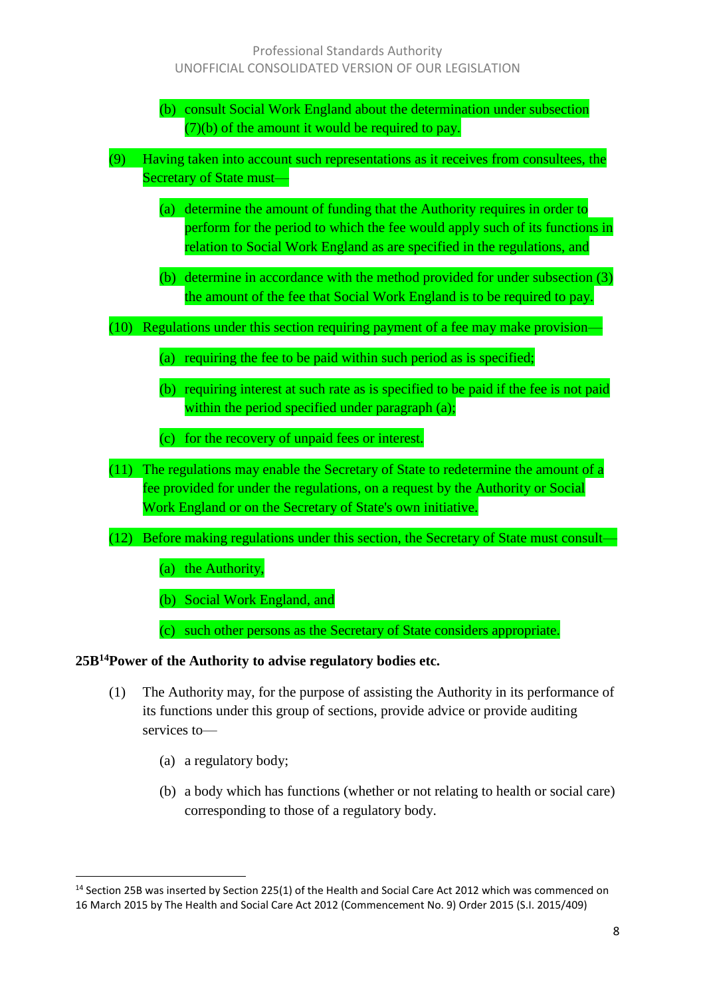- (b) consult Social Work England about the determination under subsection (7)(b) of the amount it would be required to pay.
- (9) Having taken into account such representations as it receives from consultees, the Secretary of State must—
	- (a) determine the amount of funding that the Authority requires in order to perform for the period to which the fee would apply such of its functions in relation to Social Work England as are specified in the regulations, and
	- (b) determine in accordance with the method provided for under subsection (3) the amount of the fee that Social Work England is to be required to pay.
- (10) Regulations under this section requiring payment of a fee may make provision—
	- (a) requiring the fee to be paid within such period as is specified;
	- (b) requiring interest at such rate as is specified to be paid if the fee is not paid within the period specified under paragraph (a);
	- (c) for the recovery of unpaid fees or interest.
- (11) The regulations may enable the Secretary of State to redetermine the amount of a fee provided for under the regulations, on a request by the Authority or Social Work England or on the Secretary of State's own initiative.
- (12) Before making regulations under this section, the Secretary of State must consult—

(a) the Authority,

(b) Social Work England, and

(c) such other persons as the Secretary of State considers appropriate.

#### **25B<sup>14</sup>Power of the Authority to advise regulatory bodies etc.**

- (1) The Authority may, for the purpose of assisting the Authority in its performance of its functions under this group of sections, provide advice or provide auditing services to—
	- (a) a regulatory body;

l

(b) a body which has functions (whether or not relating to health or social care) corresponding to those of a regulatory body.

<sup>&</sup>lt;sup>14</sup> Section 25B was inserted by Section 225(1) of the Health and Social Care Act 2012 which was commenced on 16 March 2015 by The Health and Social Care Act 2012 (Commencement No. 9) Order 2015 (S.I. 2015/409)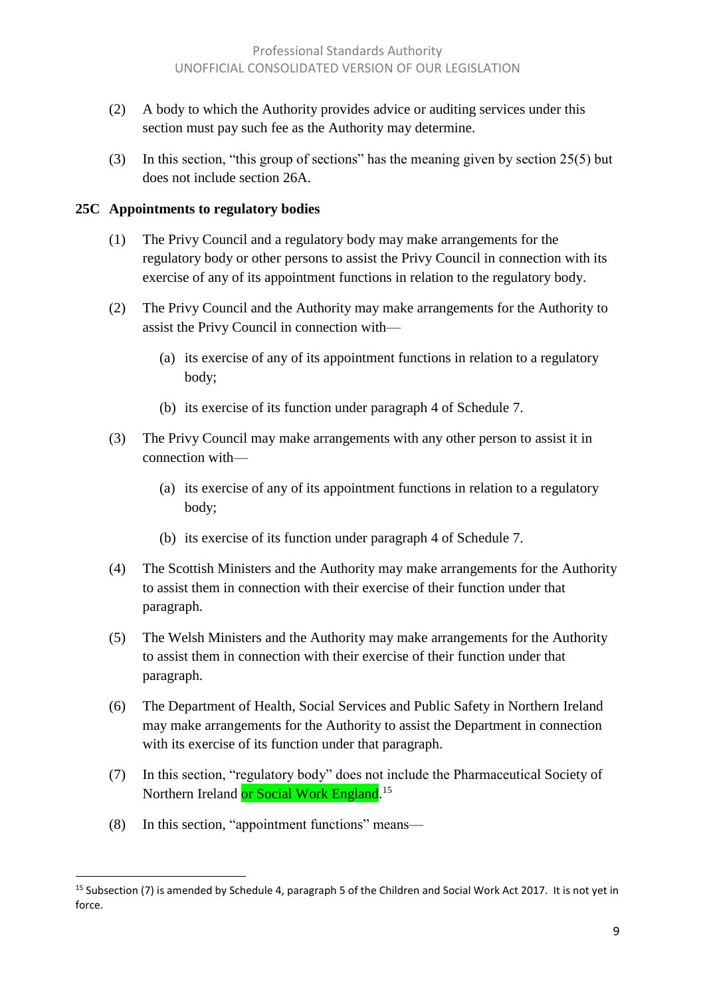- (2) A body to which the Authority provides advice or auditing services under this section must pay such fee as the Authority may determine.
- (3) In this section, "this group of sections" has the meaning given by section 25(5) but does not include section 26A.

#### **25C Appointments to regulatory bodies**

- (1) The Privy Council and a regulatory body may make arrangements for the regulatory body or other persons to assist the Privy Council in connection with its exercise of any of its appointment functions in relation to the regulatory body.
- (2) The Privy Council and the Authority may make arrangements for the Authority to assist the Privy Council in connection with—
	- (a) its exercise of any of its appointment functions in relation to a regulatory body;
	- (b) its exercise of its function under paragraph 4 of Schedule 7.
- (3) The Privy Council may make arrangements with any other person to assist it in connection with—
	- (a) its exercise of any of its appointment functions in relation to a regulatory body;
	- (b) its exercise of its function under paragraph 4 of Schedule 7.
- (4) The Scottish Ministers and the Authority may make arrangements for the Authority to assist them in connection with their exercise of their function under that paragraph.
- (5) The Welsh Ministers and the Authority may make arrangements for the Authority to assist them in connection with their exercise of their function under that paragraph.
- (6) The Department of Health, Social Services and Public Safety in Northern Ireland may make arrangements for the Authority to assist the Department in connection with its exercise of its function under that paragraph.
- (7) In this section, "regulatory body" does not include the Pharmaceutical Society of Northern Ireland <mark>or Social Work England</mark>.<sup>15</sup>
- (8) In this section, "appointment functions" means—

l <sup>15</sup> Subsection (7) is amended by Schedule 4, paragraph 5 of the Children and Social Work Act 2017. It is not yet in force.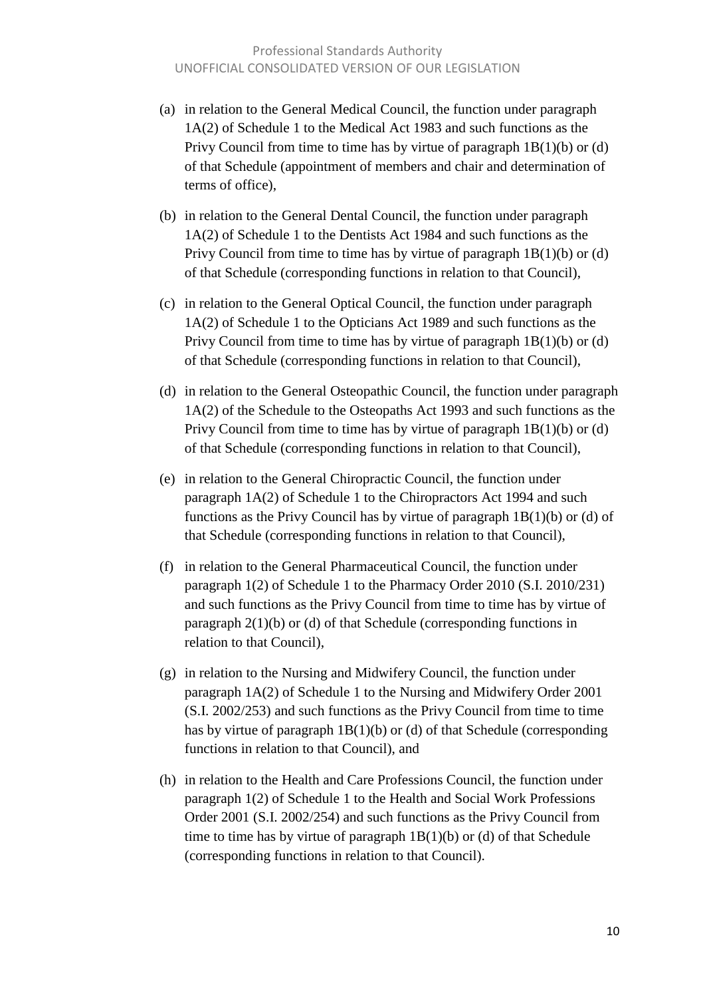- (a) in relation to the General Medical Council, the function under paragraph 1A(2) of Schedule 1 to the Medical Act 1983 and such functions as the Privy Council from time to time has by virtue of paragraph 1B(1)(b) or (d) of that Schedule (appointment of members and chair and determination of terms of office),
- (b) in relation to the General Dental Council, the function under paragraph 1A(2) of Schedule 1 to the Dentists Act 1984 and such functions as the Privy Council from time to time has by virtue of paragraph 1B(1)(b) or (d) of that Schedule (corresponding functions in relation to that Council),
- (c) in relation to the General Optical Council, the function under paragraph 1A(2) of Schedule 1 to the Opticians Act 1989 and such functions as the Privy Council from time to time has by virtue of paragraph 1B(1)(b) or (d) of that Schedule (corresponding functions in relation to that Council),
- (d) in relation to the General Osteopathic Council, the function under paragraph 1A(2) of the Schedule to the Osteopaths Act 1993 and such functions as the Privy Council from time to time has by virtue of paragraph 1B(1)(b) or (d) of that Schedule (corresponding functions in relation to that Council),
- (e) in relation to the General Chiropractic Council, the function under paragraph 1A(2) of Schedule 1 to the Chiropractors Act 1994 and such functions as the Privy Council has by virtue of paragraph  $1B(1)(b)$  or (d) of that Schedule (corresponding functions in relation to that Council),
- (f) in relation to the General Pharmaceutical Council, the function under paragraph 1(2) of Schedule 1 to the Pharmacy Order 2010 (S.I. 2010/231) and such functions as the Privy Council from time to time has by virtue of paragraph 2(1)(b) or (d) of that Schedule (corresponding functions in relation to that Council),
- (g) in relation to the Nursing and Midwifery Council, the function under paragraph 1A(2) of Schedule 1 to the Nursing and Midwifery Order 2001 (S.I. 2002/253) and such functions as the Privy Council from time to time has by virtue of paragraph 1B(1)(b) or (d) of that Schedule (corresponding functions in relation to that Council), and
- (h) in relation to the Health and Care Professions Council, the function under paragraph 1(2) of Schedule 1 to the Health and Social Work Professions Order 2001 (S.I. 2002/254) and such functions as the Privy Council from time to time has by virtue of paragraph  $1B(1)(b)$  or (d) of that Schedule (corresponding functions in relation to that Council).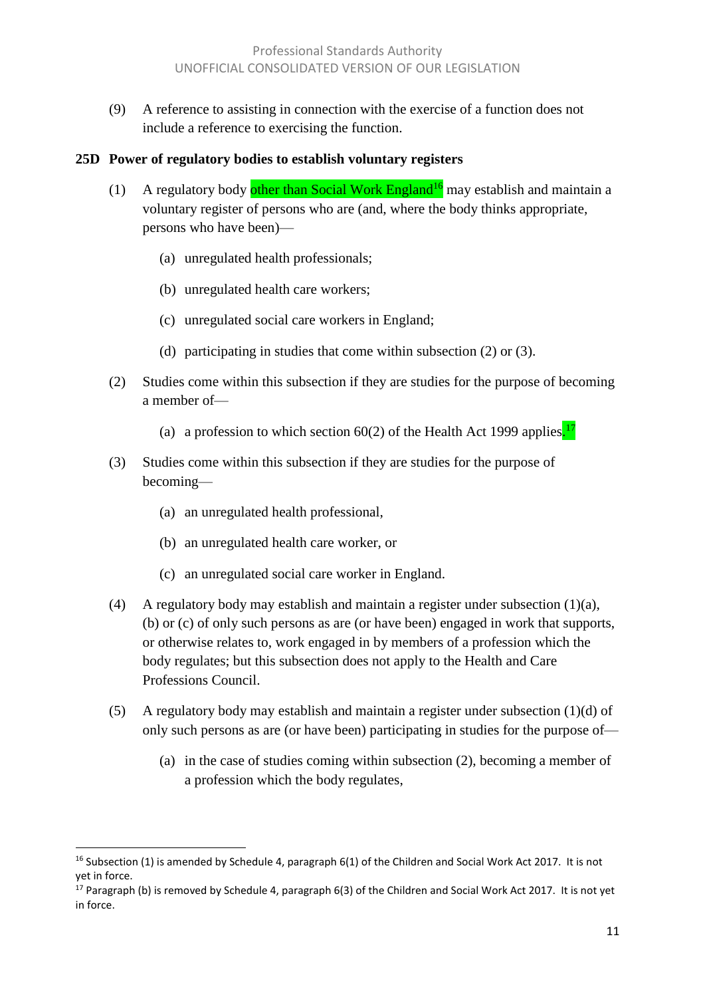(9) A reference to assisting in connection with the exercise of a function does not include a reference to exercising the function.

#### **25D Power of regulatory bodies to establish voluntary registers**

- (1) A regulatory body other than Social Work England<sup>16</sup> may establish and maintain a voluntary register of persons who are (and, where the body thinks appropriate, persons who have been)—
	- (a) unregulated health professionals;
	- (b) unregulated health care workers;
	- (c) unregulated social care workers in England;
	- (d) participating in studies that come within subsection (2) or (3).
- (2) Studies come within this subsection if they are studies for the purpose of becoming a member of—
	- (a) a profession to which section 60(2) of the Health Act 1999 applies.<sup>17</sup>
- (3) Studies come within this subsection if they are studies for the purpose of becoming—
	- (a) an unregulated health professional,

 $\overline{a}$ 

- (b) an unregulated health care worker, or
- (c) an unregulated social care worker in England.
- (4) A regulatory body may establish and maintain a register under subsection (1)(a), (b) or (c) of only such persons as are (or have been) engaged in work that supports, or otherwise relates to, work engaged in by members of a profession which the body regulates; but this subsection does not apply to the Health and Care Professions Council.
- (5) A regulatory body may establish and maintain a register under subsection (1)(d) of only such persons as are (or have been) participating in studies for the purpose of—
	- (a) in the case of studies coming within subsection (2), becoming a member of a profession which the body regulates,

<sup>&</sup>lt;sup>16</sup> Subsection (1) is amended by Schedule 4, paragraph 6(1) of the Children and Social Work Act 2017. It is not yet in force.

 $17$  Paragraph (b) is removed by Schedule 4, paragraph 6(3) of the Children and Social Work Act 2017. It is not yet in force.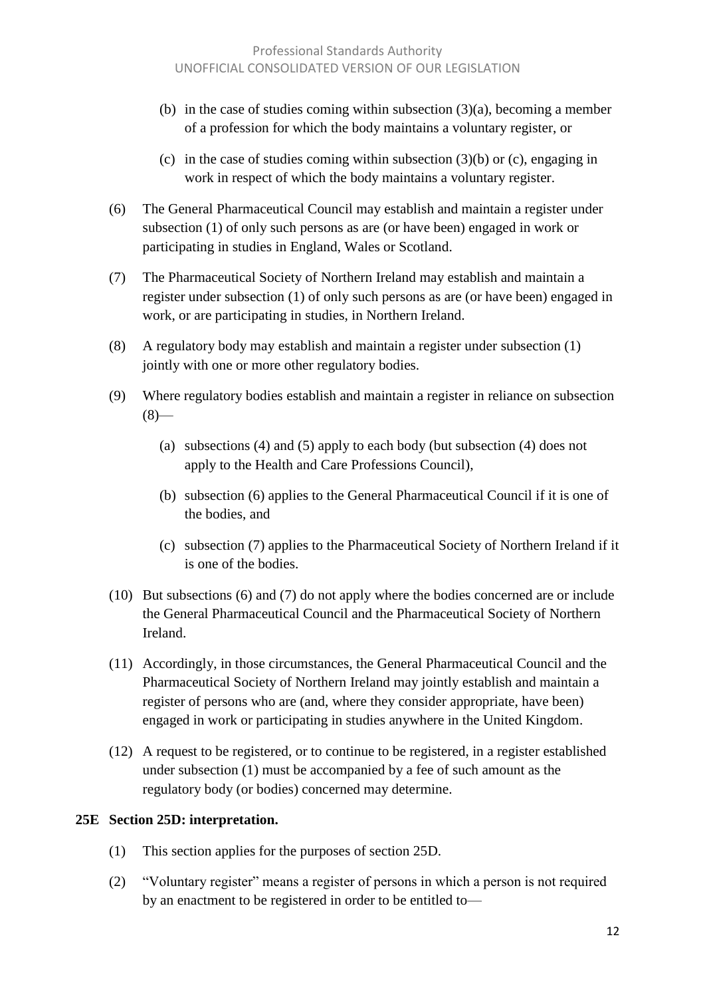- (b) in the case of studies coming within subsection (3)(a), becoming a member of a profession for which the body maintains a voluntary register, or
- (c) in the case of studies coming within subsection (3)(b) or (c), engaging in work in respect of which the body maintains a voluntary register.
- (6) The General Pharmaceutical Council may establish and maintain a register under subsection (1) of only such persons as are (or have been) engaged in work or participating in studies in England, Wales or Scotland.
- (7) The Pharmaceutical Society of Northern Ireland may establish and maintain a register under subsection (1) of only such persons as are (or have been) engaged in work, or are participating in studies, in Northern Ireland.
- (8) A regulatory body may establish and maintain a register under subsection (1) jointly with one or more other regulatory bodies.
- (9) Where regulatory bodies establish and maintain a register in reliance on subsection  $(8)$ —
	- (a) subsections (4) and (5) apply to each body (but subsection (4) does not apply to the Health and Care Professions Council),
	- (b) subsection (6) applies to the General Pharmaceutical Council if it is one of the bodies, and
	- (c) subsection (7) applies to the Pharmaceutical Society of Northern Ireland if it is one of the bodies.
- (10) But subsections (6) and (7) do not apply where the bodies concerned are or include the General Pharmaceutical Council and the Pharmaceutical Society of Northern Ireland.
- (11) Accordingly, in those circumstances, the General Pharmaceutical Council and the Pharmaceutical Society of Northern Ireland may jointly establish and maintain a register of persons who are (and, where they consider appropriate, have been) engaged in work or participating in studies anywhere in the United Kingdom.
- (12) A request to be registered, or to continue to be registered, in a register established under subsection (1) must be accompanied by a fee of such amount as the regulatory body (or bodies) concerned may determine.

#### **25E Section 25D: interpretation.**

- (1) This section applies for the purposes of section 25D.
- (2) "Voluntary register" means a register of persons in which a person is not required by an enactment to be registered in order to be entitled to—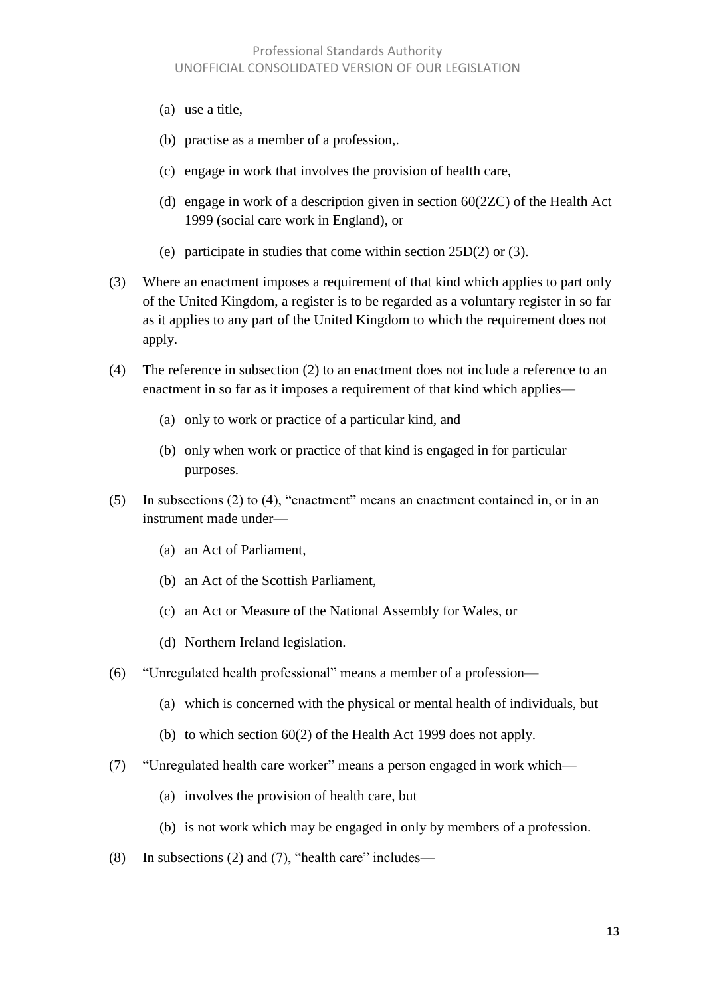- (a) use a title,
- (b) practise as a member of a profession,.
- (c) engage in work that involves the provision of health care,
- (d) engage in work of a description given in section 60(2ZC) of the Health Act 1999 (social care work in England), or
- (e) participate in studies that come within section 25D(2) or (3).
- (3) Where an enactment imposes a requirement of that kind which applies to part only of the United Kingdom, a register is to be regarded as a voluntary register in so far as it applies to any part of the United Kingdom to which the requirement does not apply.
- (4) The reference in subsection (2) to an enactment does not include a reference to an enactment in so far as it imposes a requirement of that kind which applies—
	- (a) only to work or practice of a particular kind, and
	- (b) only when work or practice of that kind is engaged in for particular purposes.
- (5) In subsections (2) to (4), "enactment" means an enactment contained in, or in an instrument made under—
	- (a) an Act of Parliament,
	- (b) an Act of the Scottish Parliament,
	- (c) an Act or Measure of the National Assembly for Wales, or
	- (d) Northern Ireland legislation.
- (6) "Unregulated health professional" means a member of a profession—
	- (a) which is concerned with the physical or mental health of individuals, but
	- (b) to which section 60(2) of the Health Act 1999 does not apply.
- (7) "Unregulated health care worker" means a person engaged in work which—
	- (a) involves the provision of health care, but
	- (b) is not work which may be engaged in only by members of a profession.
- (8) In subsections (2) and (7), "health care" includes—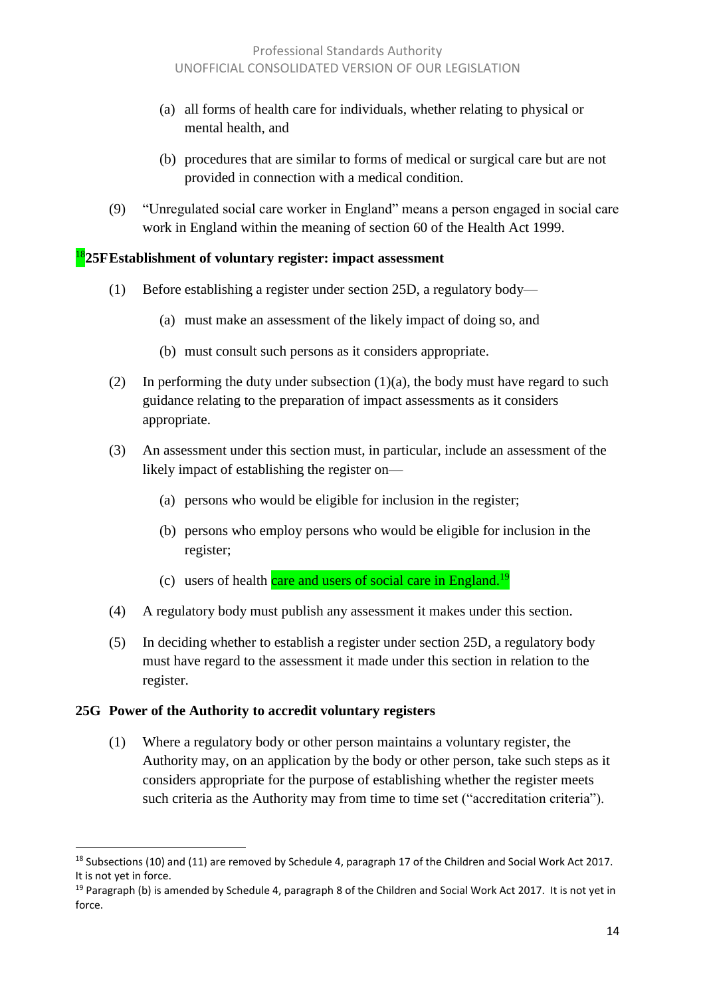- (a) all forms of health care for individuals, whether relating to physical or mental health, and
- (b) procedures that are similar to forms of medical or surgical care but are not provided in connection with a medical condition.
- (9) "Unregulated social care worker in England" means a person engaged in social care work in England within the meaning of section 60 of the Health Act 1999.

#### <sup>18</sup>**25FEstablishment of voluntary register: impact assessment**

- (1) Before establishing a register under section 25D, a regulatory body—
	- (a) must make an assessment of the likely impact of doing so, and
	- (b) must consult such persons as it considers appropriate.
- (2) In performing the duty under subsection  $(1)(a)$ , the body must have regard to such guidance relating to the preparation of impact assessments as it considers appropriate.
- (3) An assessment under this section must, in particular, include an assessment of the likely impact of establishing the register on—
	- (a) persons who would be eligible for inclusion in the register;
	- (b) persons who employ persons who would be eligible for inclusion in the register;
	- (c) users of health care and users of social care in England.<sup>19</sup>
- (4) A regulatory body must publish any assessment it makes under this section.
- (5) In deciding whether to establish a register under section 25D, a regulatory body must have regard to the assessment it made under this section in relation to the register.

#### **25G Power of the Authority to accredit voluntary registers**

 $\overline{a}$ 

(1) Where a regulatory body or other person maintains a voluntary register, the Authority may, on an application by the body or other person, take such steps as it considers appropriate for the purpose of establishing whether the register meets such criteria as the Authority may from time to time set ("accreditation criteria").

<sup>&</sup>lt;sup>18</sup> Subsections (10) and (11) are removed by Schedule 4, paragraph 17 of the Children and Social Work Act 2017. It is not yet in force.

<sup>&</sup>lt;sup>19</sup> Paragraph (b) is amended by Schedule 4, paragraph 8 of the Children and Social Work Act 2017. It is not yet in force.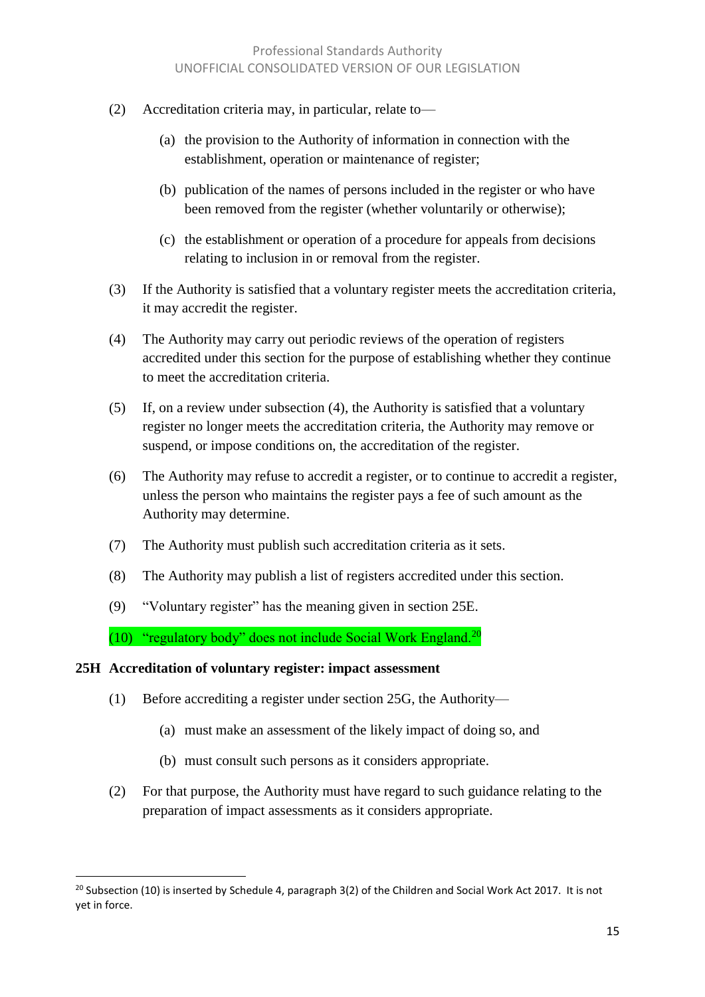- (2) Accreditation criteria may, in particular, relate to—
	- (a) the provision to the Authority of information in connection with the establishment, operation or maintenance of register;
	- (b) publication of the names of persons included in the register or who have been removed from the register (whether voluntarily or otherwise);
	- (c) the establishment or operation of a procedure for appeals from decisions relating to inclusion in or removal from the register.
- (3) If the Authority is satisfied that a voluntary register meets the accreditation criteria, it may accredit the register.
- (4) The Authority may carry out periodic reviews of the operation of registers accredited under this section for the purpose of establishing whether they continue to meet the accreditation criteria.
- (5) If, on a review under subsection (4), the Authority is satisfied that a voluntary register no longer meets the accreditation criteria, the Authority may remove or suspend, or impose conditions on, the accreditation of the register.
- (6) The Authority may refuse to accredit a register, or to continue to accredit a register, unless the person who maintains the register pays a fee of such amount as the Authority may determine.
- (7) The Authority must publish such accreditation criteria as it sets.
- (8) The Authority may publish a list of registers accredited under this section.
- (9) "Voluntary register" has the meaning given in section 25E.
- (10) "regulatory body" does not include Social Work England.<sup>20</sup>

#### **25H Accreditation of voluntary register: impact assessment**

l

- (1) Before accrediting a register under section 25G, the Authority—
	- (a) must make an assessment of the likely impact of doing so, and
	- (b) must consult such persons as it considers appropriate.
- (2) For that purpose, the Authority must have regard to such guidance relating to the preparation of impact assessments as it considers appropriate.

<sup>&</sup>lt;sup>20</sup> Subsection (10) is inserted by Schedule 4, paragraph 3(2) of the Children and Social Work Act 2017. It is not yet in force.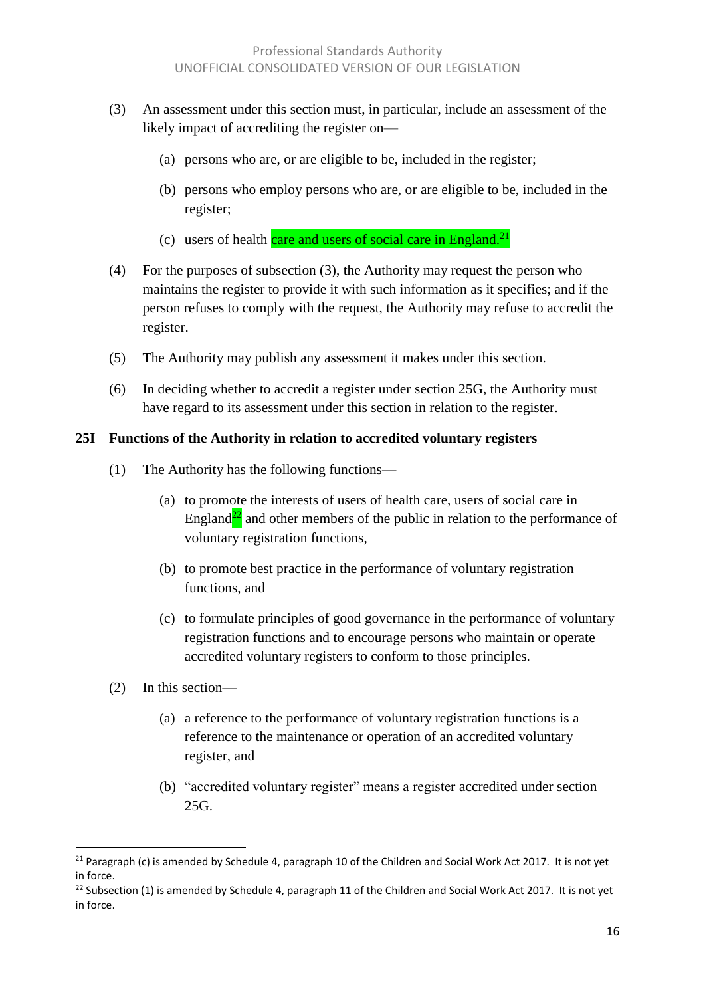- (3) An assessment under this section must, in particular, include an assessment of the likely impact of accrediting the register on—
	- (a) persons who are, or are eligible to be, included in the register;
	- (b) persons who employ persons who are, or are eligible to be, included in the register;
	- (c) users of health care and users of social care in England.<sup>21</sup>
- (4) For the purposes of subsection (3), the Authority may request the person who maintains the register to provide it with such information as it specifies; and if the person refuses to comply with the request, the Authority may refuse to accredit the register.
- (5) The Authority may publish any assessment it makes under this section.
- (6) In deciding whether to accredit a register under section 25G, the Authority must have regard to its assessment under this section in relation to the register.

#### **25I Functions of the Authority in relation to accredited voluntary registers**

- (1) The Authority has the following functions—
	- (a) to promote the interests of users of health care, users of social care in England<sup>22</sup> and other members of the public in relation to the performance of voluntary registration functions,
	- (b) to promote best practice in the performance of voluntary registration functions, and
	- (c) to formulate principles of good governance in the performance of voluntary registration functions and to encourage persons who maintain or operate accredited voluntary registers to conform to those principles.
- (2) In this section—

 $\overline{a}$ 

- (a) a reference to the performance of voluntary registration functions is a reference to the maintenance or operation of an accredited voluntary register, and
- (b) "accredited voluntary register" means a register accredited under section 25G.

<sup>&</sup>lt;sup>21</sup> Paragraph (c) is amended by Schedule 4, paragraph 10 of the Children and Social Work Act 2017. It is not yet in force.

<sup>&</sup>lt;sup>22</sup> Subsection (1) is amended by Schedule 4, paragraph 11 of the Children and Social Work Act 2017. It is not yet in force.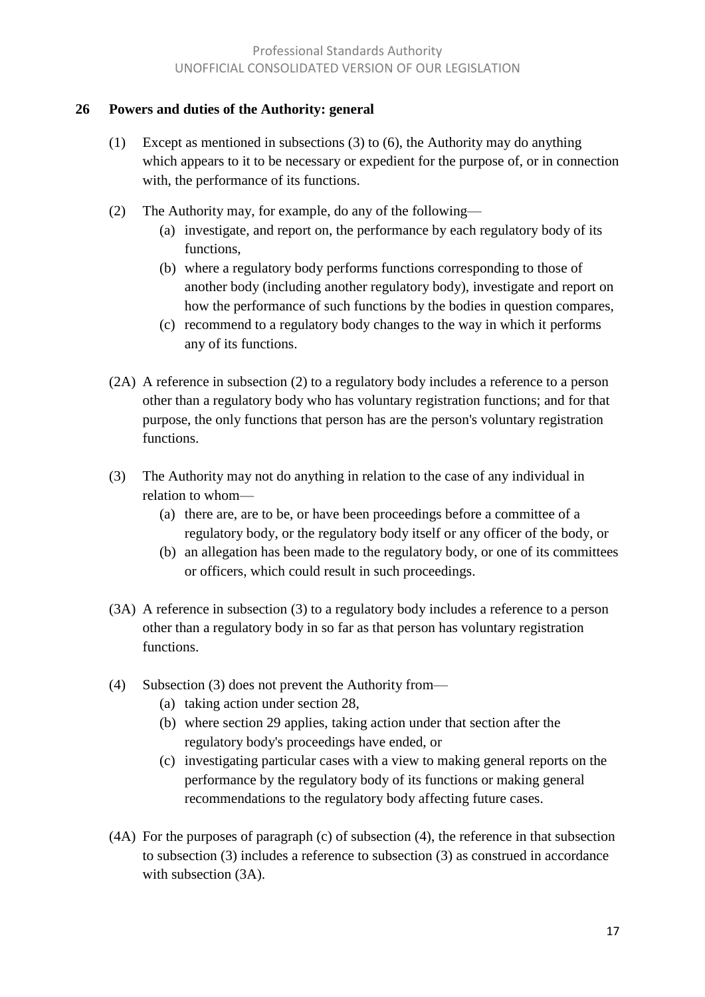#### **26 Powers and duties of the Authority: general**

- (1) Except as mentioned in subsections (3) to (6), the Authority may do anything which appears to it to be necessary or expedient for the purpose of, or in connection with, the performance of its functions.
- (2) The Authority may, for example, do any of the following—
	- (a) investigate, and report on, the performance by each regulatory body of its functions,
	- (b) where a regulatory body performs functions corresponding to those of another body (including another regulatory body), investigate and report on how the performance of such functions by the bodies in question compares,
	- (c) recommend to a regulatory body changes to the way in which it performs any of its functions.
- (2A) A reference in subsection (2) to a regulatory body includes a reference to a person other than a regulatory body who has voluntary registration functions; and for that purpose, the only functions that person has are the person's voluntary registration functions.
- (3) The Authority may not do anything in relation to the case of any individual in relation to whom—
	- (a) there are, are to be, or have been proceedings before a committee of a regulatory body, or the regulatory body itself or any officer of the body, or
	- (b) an allegation has been made to the regulatory body, or one of its committees or officers, which could result in such proceedings.
- (3A) A reference in subsection (3) to a regulatory body includes a reference to a person other than a regulatory body in so far as that person has voluntary registration functions.
- (4) Subsection (3) does not prevent the Authority from—
	- (a) taking action under section 28,
	- (b) where section 29 applies, taking action under that section after the regulatory body's proceedings have ended, or
	- (c) investigating particular cases with a view to making general reports on the performance by the regulatory body of its functions or making general recommendations to the regulatory body affecting future cases.
- (4A) For the purposes of paragraph (c) of subsection (4), the reference in that subsection to subsection (3) includes a reference to subsection (3) as construed in accordance with subsection (3A).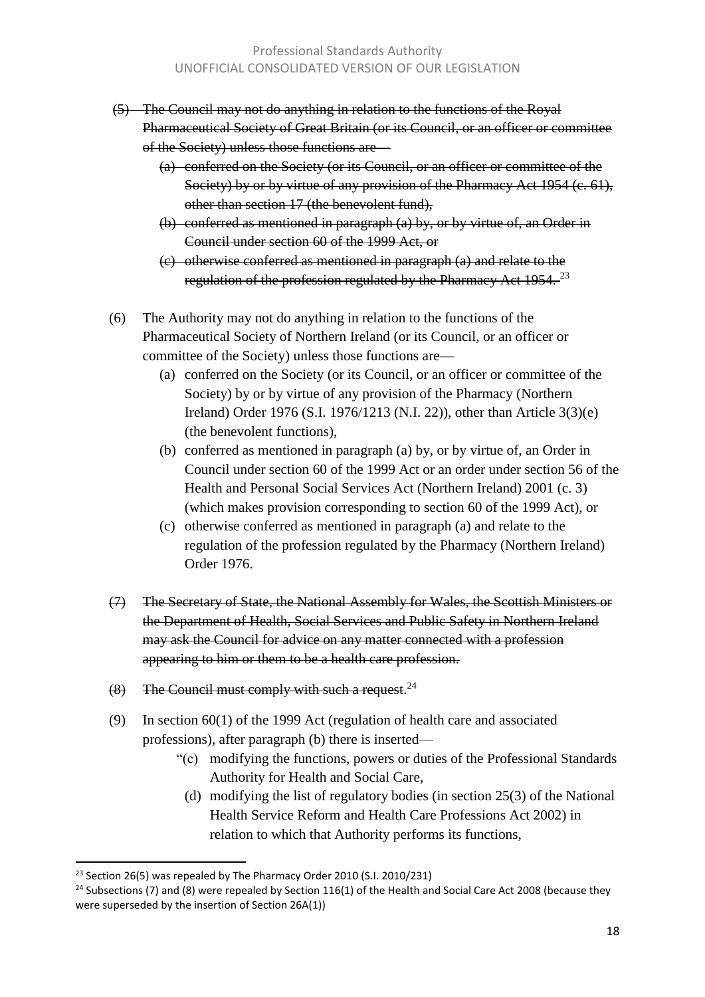- (5) The Council may not do anything in relation to the functions of the Royal Pharmaceutical Society of Great Britain (or its Council, or an officer or committee of the Society) unless those functions are—
	- (a) conferred on the Society (or its Council, or an officer or committee of the Society) by or by virtue of any provision of the Pharmacy Act 1954 (c. 61), other than section 17 (the benevolent fund),
	- (b) conferred as mentioned in paragraph (a) by, or by virtue of, an Order in Council under section 60 of the 1999 Act, or
	- (c) otherwise conferred as mentioned in paragraph (a) and relate to the regulation of the profession regulated by the Pharmacy Act 1954.<sup>23</sup>
- (6) The Authority may not do anything in relation to the functions of the Pharmaceutical Society of Northern Ireland (or its Council, or an officer or committee of the Society) unless those functions are—
	- (a) conferred on the Society (or its Council, or an officer or committee of the Society) by or by virtue of any provision of the Pharmacy (Northern Ireland) Order 1976 (S.I. 1976/1213 (N.I. 22)), other than Article 3(3)(e) (the benevolent functions),
	- (b) conferred as mentioned in paragraph (a) by, or by virtue of, an Order in Council under section 60 of the 1999 Act or an order under section 56 of the Health and Personal Social Services Act (Northern Ireland) 2001 (c. 3) (which makes provision corresponding to section 60 of the 1999 Act), or
	- (c) otherwise conferred as mentioned in paragraph (a) and relate to the regulation of the profession regulated by the Pharmacy (Northern Ireland) Order 1976.
- (7) The Secretary of State, the National Assembly for Wales, the Scottish Ministers or the Department of Health, Social Services and Public Safety in Northern Ireland may ask the Council for advice on any matter connected with a profession appearing to him or them to be a health care profession.
- $(8)$  The Council must comply with such a request.<sup>24</sup>
- (9) In section 60(1) of the 1999 Act (regulation of health care and associated professions), after paragraph (b) there is inserted—
	- "(c) modifying the functions, powers or duties of the Professional Standards Authority for Health and Social Care,
		- (d) modifying the list of regulatory bodies (in section 25(3) of the National Health Service Reform and Health Care Professions Act 2002) in relation to which that Authority performs its functions,

<sup>&</sup>lt;sup>23</sup> Section 26(5) was repealed by The Pharmacy Order 2010 (S.I. 2010/231)

<sup>&</sup>lt;sup>24</sup> Subsections (7) and (8) were repealed by Section 116(1) of the Health and Social Care Act 2008 (because they were superseded by the insertion of Section 26A(1))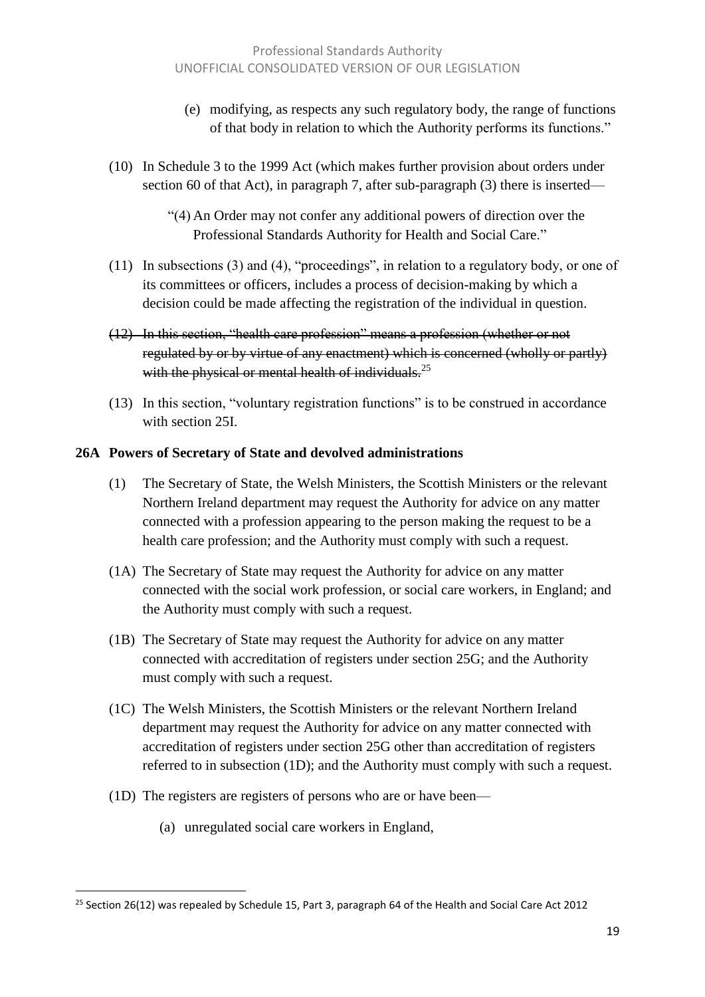- (e) modifying, as respects any such regulatory body, the range of functions of that body in relation to which the Authority performs its functions."
- (10) In Schedule 3 to the 1999 Act (which makes further provision about orders under section 60 of that Act), in paragraph 7, after sub-paragraph (3) there is inserted—

"(4) An Order may not confer any additional powers of direction over the Professional Standards Authority for Health and Social Care."

- (11) In subsections (3) and (4), "proceedings", in relation to a regulatory body, or one of its committees or officers, includes a process of decision-making by which a decision could be made affecting the registration of the individual in question.
- (12) In this section, "health care profession" means a profession (whether or not regulated by or by virtue of any enactment) which is concerned (wholly or partly) with the physical or mental health of individuals. $^{25}$
- (13) In this section, "voluntary registration functions" is to be construed in accordance with section 25I.

#### **26A Powers of Secretary of State and devolved administrations**

- (1) The Secretary of State, the Welsh Ministers, the Scottish Ministers or the relevant Northern Ireland department may request the Authority for advice on any matter connected with a profession appearing to the person making the request to be a health care profession; and the Authority must comply with such a request.
- (1A) The Secretary of State may request the Authority for advice on any matter connected with the social work profession, or social care workers, in England; and the Authority must comply with such a request.
- (1B) The Secretary of State may request the Authority for advice on any matter connected with accreditation of registers under section 25G; and the Authority must comply with such a request.
- (1C) The Welsh Ministers, the Scottish Ministers or the relevant Northern Ireland department may request the Authority for advice on any matter connected with accreditation of registers under section 25G other than accreditation of registers referred to in subsection (1D); and the Authority must comply with such a request.
- (1D) The registers are registers of persons who are or have been—
	- (a) unregulated social care workers in England,

<sup>&</sup>lt;sup>25</sup> Section 26(12) was repealed by Schedule 15, Part 3, paragraph 64 of the Health and Social Care Act 2012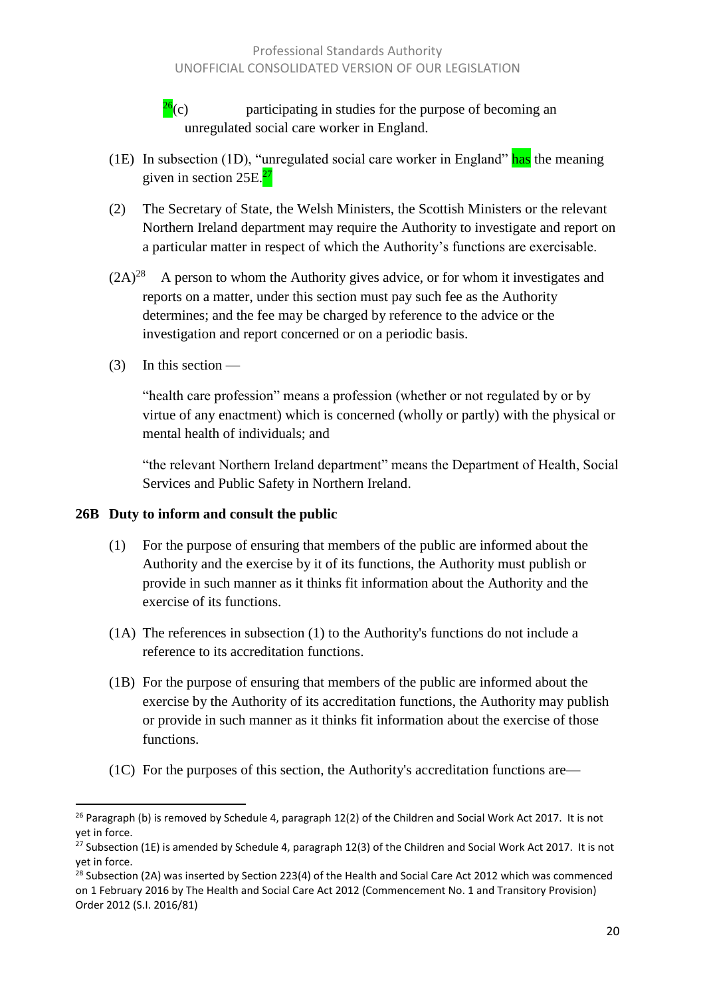$\frac{26}{26}$ (c) participating in studies for the purpose of becoming an unregulated social care worker in England.

- (1E) In subsection (1D), "unregulated social care worker in England" has the meaning given in section  $25E<sup>27</sup>$
- (2) The Secretary of State, the Welsh Ministers, the Scottish Ministers or the relevant Northern Ireland department may require the Authority to investigate and report on a particular matter in respect of which the Authority's functions are exercisable.
- $(2A)^{28}$  A person to whom the Authority gives advice, or for whom it investigates and reports on a matter, under this section must pay such fee as the Authority determines; and the fee may be charged by reference to the advice or the investigation and report concerned or on a periodic basis.
- (3) In this section —

"health care profession" means a profession (whether or not regulated by or by virtue of any enactment) which is concerned (wholly or partly) with the physical or mental health of individuals; and

"the relevant Northern Ireland department" means the Department of Health, Social Services and Public Safety in Northern Ireland.

#### **26B Duty to inform and consult the public**

- (1) For the purpose of ensuring that members of the public are informed about the Authority and the exercise by it of its functions, the Authority must publish or provide in such manner as it thinks fit information about the Authority and the exercise of its functions.
- (1A) The references in subsection (1) to the Authority's functions do not include a reference to its accreditation functions.
- (1B) For the purpose of ensuring that members of the public are informed about the exercise by the Authority of its accreditation functions, the Authority may publish or provide in such manner as it thinks fit information about the exercise of those functions.
- (1C) For the purposes of this section, the Authority's accreditation functions are—

 $\overline{\phantom{a}}$ <sup>26</sup> Paragraph (b) is removed by Schedule 4, paragraph 12(2) of the Children and Social Work Act 2017. It is not yet in force.

<sup>&</sup>lt;sup>27</sup> Subsection (1E) is amended by Schedule 4, paragraph 12(3) of the Children and Social Work Act 2017. It is not yet in force.

<sup>&</sup>lt;sup>28</sup> Subsection (2A) was inserted by Section 223(4) of the Health and Social Care Act 2012 which was commenced on 1 February 2016 by The Health and Social Care Act 2012 (Commencement No. 1 and Transitory Provision) Order 2012 (S.I. 2016/81)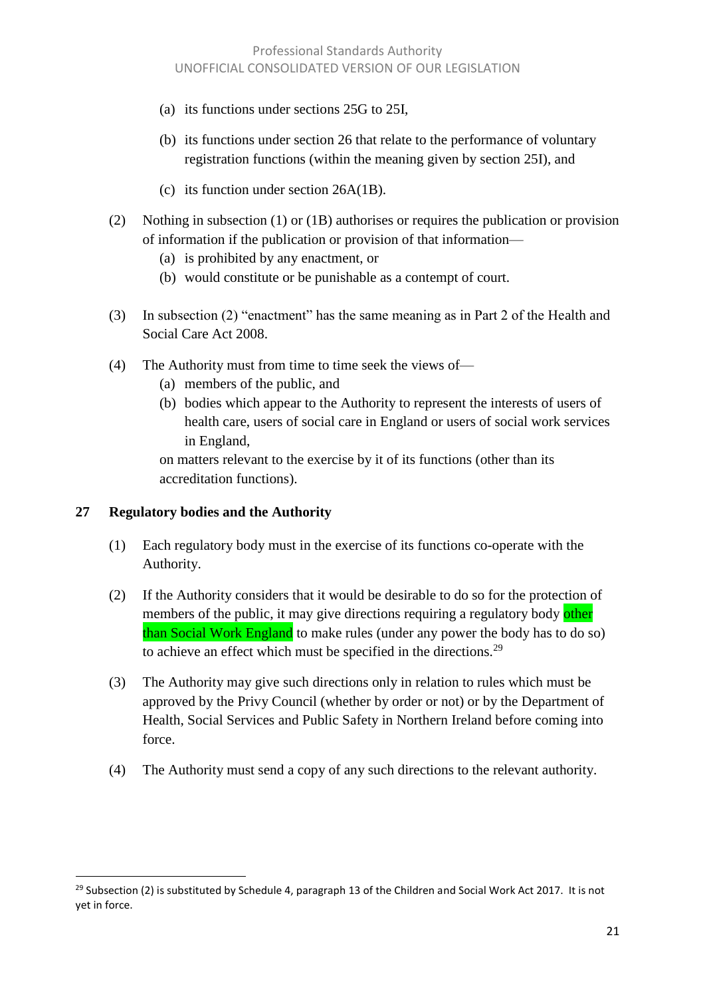- (a) its functions under sections 25G to 25I,
- (b) its functions under section 26 that relate to the performance of voluntary registration functions (within the meaning given by section 25I), and
- (c) its function under section 26A(1B).
- (2) Nothing in subsection (1) or (1B) authorises or requires the publication or provision of information if the publication or provision of that information—
	- (a) is prohibited by any enactment, or
	- (b) would constitute or be punishable as a contempt of court.
- (3) In subsection (2) "enactment" has the same meaning as in Part 2 of the Health and Social Care Act 2008.
- (4) The Authority must from time to time seek the views of—
	- (a) members of the public, and
	- (b) bodies which appear to the Authority to represent the interests of users of health care, users of social care in England or users of social work services in England,

on matters relevant to the exercise by it of its functions (other than its accreditation functions).

#### **27 Regulatory bodies and the Authority**

l

- (1) Each regulatory body must in the exercise of its functions co-operate with the Authority.
- (2) If the Authority considers that it would be desirable to do so for the protection of members of the public, it may give directions requiring a regulatory body other than Social Work England to make rules (under any power the body has to do so) to achieve an effect which must be specified in the directions.<sup>29</sup>
- (3) The Authority may give such directions only in relation to rules which must be approved by the Privy Council (whether by order or not) or by the Department of Health, Social Services and Public Safety in Northern Ireland before coming into force.
- (4) The Authority must send a copy of any such directions to the relevant authority.

<sup>&</sup>lt;sup>29</sup> Subsection (2) is substituted by Schedule 4, paragraph 13 of the Children and Social Work Act 2017. It is not yet in force.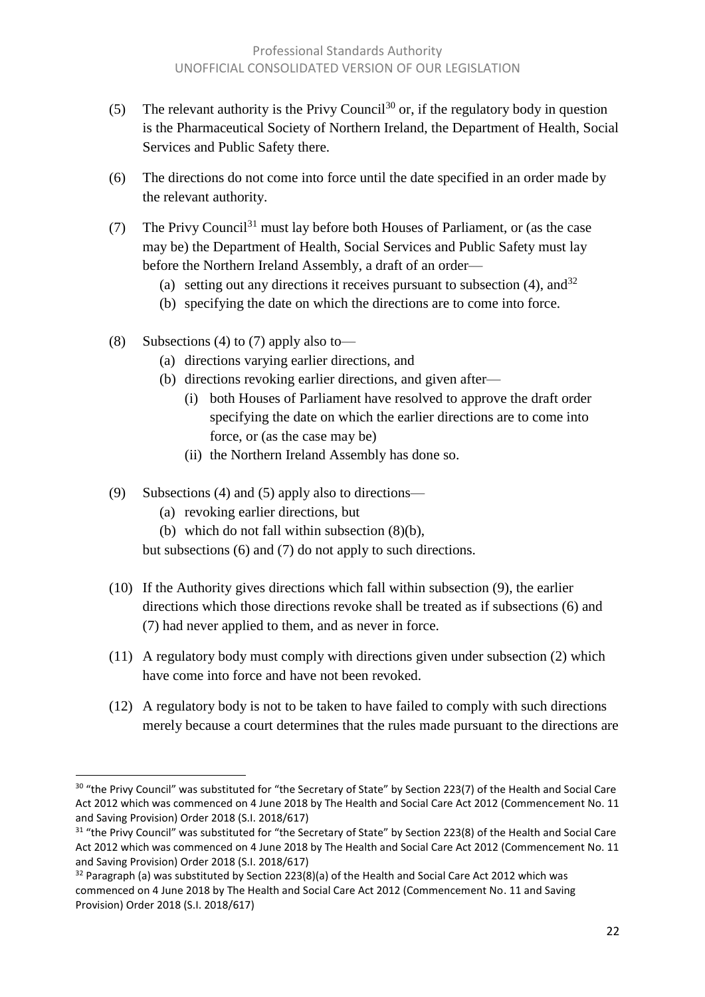- (5) The relevant authority is the Privy Council<sup>30</sup> or, if the regulatory body in question is the Pharmaceutical Society of Northern Ireland, the Department of Health, Social Services and Public Safety there.
- (6) The directions do not come into force until the date specified in an order made by the relevant authority.
- (7) The Privy Council<sup>31</sup> must lay before both Houses of Parliament, or (as the case may be) the Department of Health, Social Services and Public Safety must lay before the Northern Ireland Assembly, a draft of an order—
	- (a) setting out any directions it receives pursuant to subsection (4), and  $32$
	- (b) specifying the date on which the directions are to come into force.
- (8) Subsections (4) to (7) apply also to—
	- (a) directions varying earlier directions, and
	- (b) directions revoking earlier directions, and given after—
		- (i) both Houses of Parliament have resolved to approve the draft order specifying the date on which the earlier directions are to come into force, or (as the case may be)
		- (ii) the Northern Ireland Assembly has done so.
- (9) Subsections (4) and (5) apply also to directions—
	- (a) revoking earlier directions, but

l

(b) which do not fall within subsection (8)(b),

but subsections (6) and (7) do not apply to such directions.

- (10) If the Authority gives directions which fall within subsection (9), the earlier directions which those directions revoke shall be treated as if subsections (6) and (7) had never applied to them, and as never in force.
- (11) A regulatory body must comply with directions given under subsection (2) which have come into force and have not been revoked.
- (12) A regulatory body is not to be taken to have failed to comply with such directions merely because a court determines that the rules made pursuant to the directions are

<sup>&</sup>lt;sup>30</sup> "the Privy Council" was substituted for "the Secretary of State" by Section 223(7) of the Health and Social Care Act 2012 which was commenced on 4 June 2018 by The Health and Social Care Act 2012 (Commencement No. 11 and Saving Provision) Order 2018 (S.I. 2018/617)

<sup>&</sup>lt;sup>31</sup> "the Privy Council" was substituted for "the Secretary of State" by Section 223(8) of the Health and Social Care Act 2012 which was commenced on 4 June 2018 by The Health and Social Care Act 2012 (Commencement No. 11 and Saving Provision) Order 2018 (S.I. 2018/617)

 $32$  Paragraph (a) was substituted by Section 223(8)(a) of the Health and Social Care Act 2012 which was commenced on 4 June 2018 by The Health and Social Care Act 2012 (Commencement No. 11 and Saving Provision) Order 2018 (S.I. 2018/617)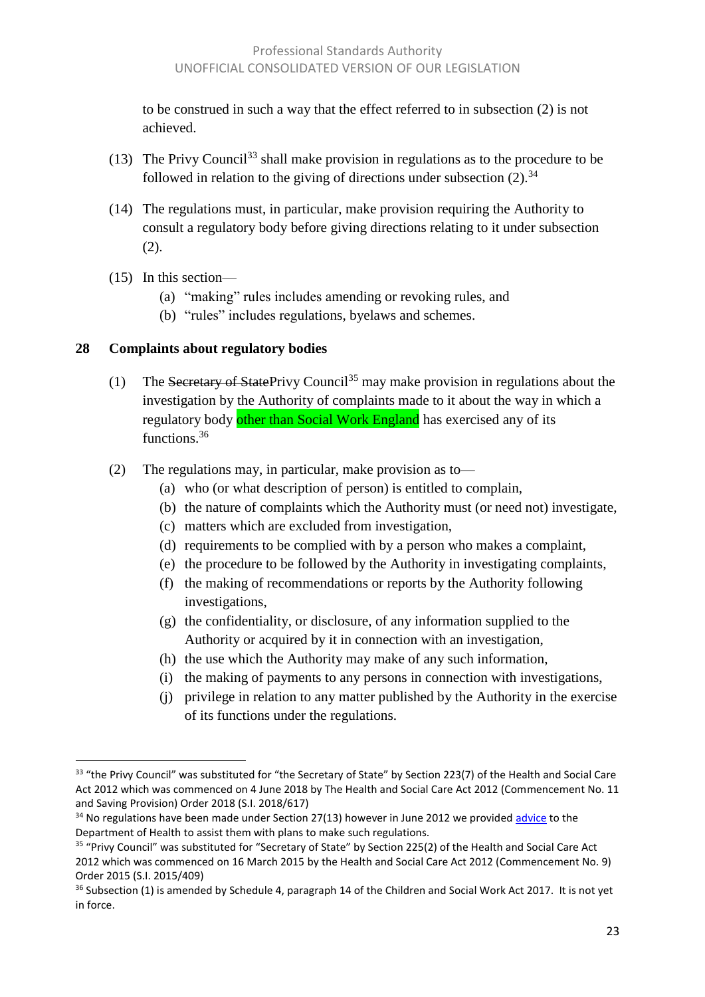to be construed in such a way that the effect referred to in subsection (2) is not achieved.

- (13) The Privy Council<sup>33</sup> shall make provision in regulations as to the procedure to be followed in relation to the giving of directions under subsection  $(2)$ .<sup>34</sup>
- (14) The regulations must, in particular, make provision requiring the Authority to consult a regulatory body before giving directions relating to it under subsection (2).
- (15) In this section—

 $\overline{a}$ 

- (a) "making" rules includes amending or revoking rules, and
- (b) "rules" includes regulations, byelaws and schemes.

#### **28 Complaints about regulatory bodies**

- (1) The Secretary of StatePrivy Council<sup>35</sup> may make provision in regulations about the investigation by the Authority of complaints made to it about the way in which a regulatory body other than Social Work England has exercised any of its functions.<sup>36</sup>
- (2) The regulations may, in particular, make provision as to—
	- (a) who (or what description of person) is entitled to complain,
	- (b) the nature of complaints which the Authority must (or need not) investigate,
	- (c) matters which are excluded from investigation,
	- (d) requirements to be complied with by a person who makes a complaint,
	- (e) the procedure to be followed by the Authority in investigating complaints,
	- (f) the making of recommendations or reports by the Authority following investigations,
	- (g) the confidentiality, or disclosure, of any information supplied to the Authority or acquired by it in connection with an investigation,
	- (h) the use which the Authority may make of any such information,
	- (i) the making of payments to any persons in connection with investigations,
	- (j) privilege in relation to any matter published by the Authority in the exercise of its functions under the regulations.

<sup>&</sup>lt;sup>33</sup> "the Privy Council" was substituted for "the Secretary of State" by Section 223(7) of the Health and Social Care Act 2012 which was commenced on 4 June 2018 by The Health and Social Care Act 2012 (Commencement No. 11 and Saving Provision) Order 2018 (S.I. 2018/617)

 $34$  No regulations have been made under Section 27(13) however in June 2012 we provide[d advice](http://www.professionalstandards.org.uk/library/document-detail?id=4158440c-7629-4531-8d11-655d9764ec79) to the Department of Health to assist them with plans to make such regulations.

<sup>&</sup>lt;sup>35</sup> "Privy Council" was substituted for "Secretary of State" by Section 225(2) of the Health and Social Care Act 2012 which was commenced on 16 March 2015 by the Health and Social Care Act 2012 (Commencement No. 9) Order 2015 (S.I. 2015/409)

 $36$  Subsection (1) is amended by Schedule 4, paragraph 14 of the Children and Social Work Act 2017. It is not yet in force.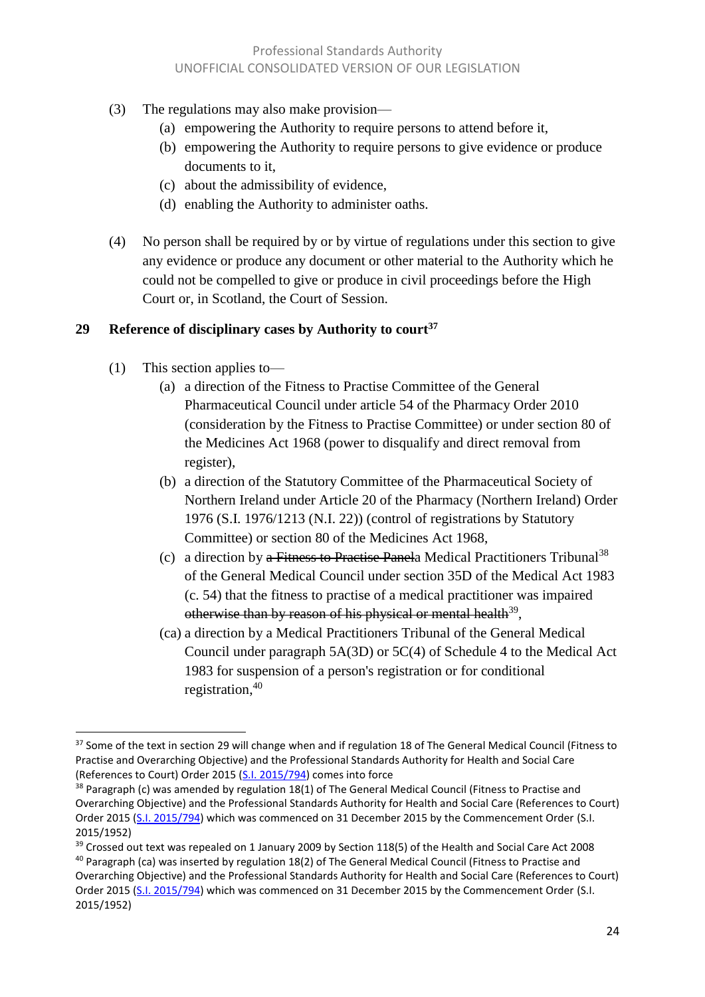- (3) The regulations may also make provision—
	- (a) empowering the Authority to require persons to attend before it,
	- (b) empowering the Authority to require persons to give evidence or produce documents to it,
	- (c) about the admissibility of evidence,
	- (d) enabling the Authority to administer oaths.
- (4) No person shall be required by or by virtue of regulations under this section to give any evidence or produce any document or other material to the Authority which he could not be compelled to give or produce in civil proceedings before the High Court or, in Scotland, the Court of Session.

#### **29 Reference of disciplinary cases by Authority to court<sup>37</sup>**

(1) This section applies to—

- (a) a direction of the Fitness to Practise Committee of the General Pharmaceutical Council under article 54 of the Pharmacy Order 2010 (consideration by the Fitness to Practise Committee) or under section 80 of the Medicines Act 1968 (power to disqualify and direct removal from register),
- (b) a direction of the Statutory Committee of the Pharmaceutical Society of Northern Ireland under Article 20 of the Pharmacy (Northern Ireland) Order 1976 (S.I. 1976/1213 (N.I. 22)) (control of registrations by Statutory Committee) or section 80 of the Medicines Act 1968,
- (c) a direction by a Fitness to Practise Panela Medical Practitioners Tribunal<sup>38</sup> of the General Medical Council under section 35D of the Medical Act 1983 (c. 54) that the fitness to practise of a medical practitioner was impaired otherwise than by reason of his physical or mental health<sup>39</sup>,
- (ca) a direction by a Medical Practitioners Tribunal of the General Medical Council under paragraph 5A(3D) or 5C(4) of Schedule 4 to the Medical Act 1983 for suspension of a person's registration or for conditional registration, 40

<sup>&</sup>lt;sup>37</sup> Some of the text in section 29 will change when and if regulation 18 of The General Medical Council (Fitness to Practise and Overarching Objective) and the Professional Standards Authority for Health and Social Care (References to Court) Order 2015 [\(S.I. 2015/794\)](http://www.legislation.gov.uk/uksi/2015/794/contents/made) comes into force

 $38$  Paragraph (c) was amended by regulation 18(1) of The General Medical Council (Fitness to Practise and Overarching Objective) and the Professional Standards Authority for Health and Social Care (References to Court) Order 2015 [\(S.I. 2015/794\)](http://www.legislation.gov.uk/uksi/2015/794/contents/made) which was commenced on 31 December 2015 by the Commencement Order (S.I. 2015/1952)

<sup>&</sup>lt;sup>39</sup> Crossed out text was repealed on 1 January 2009 by Section 118(5) of the Health and Social Care Act 2008 <sup>40</sup> Paragraph (ca) was inserted by regulation 18(2) of The General Medical Council (Fitness to Practise and

Overarching Objective) and the Professional Standards Authority for Health and Social Care (References to Court) Order 2015 [\(S.I. 2015/794\)](http://www.legislation.gov.uk/uksi/2015/794/contents/made) which was commenced on 31 December 2015 by the Commencement Order (S.I. 2015/1952)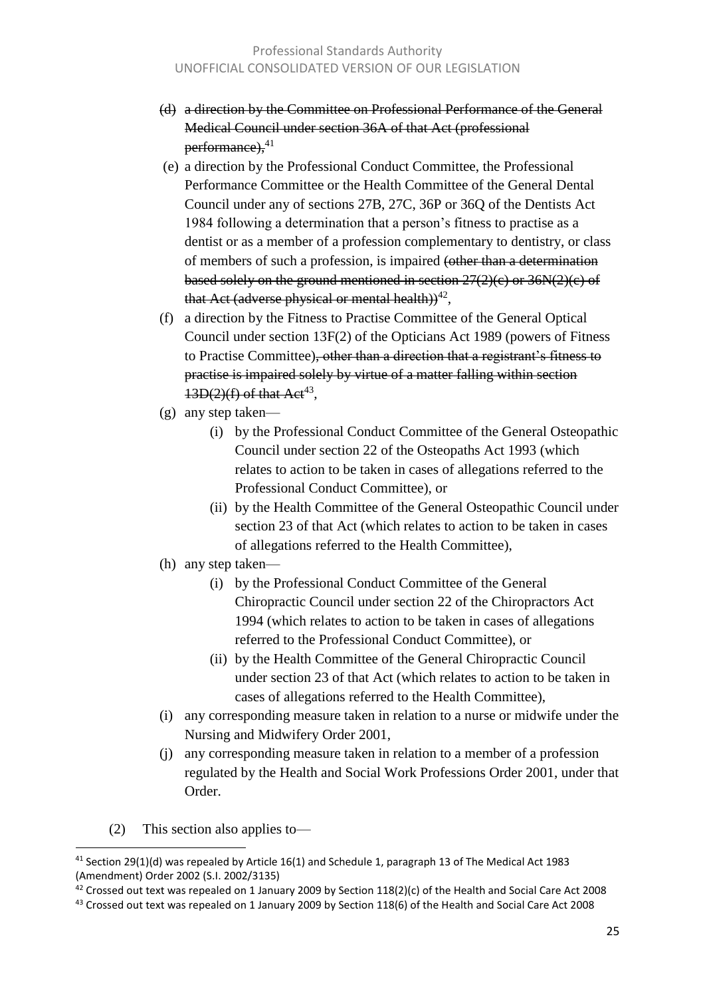- (d) a direction by the Committee on Professional Performance of the General Medical Council under section 36A of that Act (professional  $performance$ ),  $41$
- (e) a direction by the Professional Conduct Committee, the Professional Performance Committee or the Health Committee of the General Dental Council under any of sections 27B, 27C, 36P or 36Q of the Dentists Act 1984 following a determination that a person's fitness to practise as a dentist or as a member of a profession complementary to dentistry, or class of members of such a profession, is impaired (other than a determination based solely on the ground mentioned in section  $27(2)(c)$  or  $36N(2)(c)$  of that Act (adverse physical or mental health))<sup>42</sup>,
- (f) a direction by the Fitness to Practise Committee of the General Optical Council under section 13F(2) of the Opticians Act 1989 (powers of Fitness to Practise Committee), other than a direction that a registrant's fitness to practise is impaired solely by virtue of a matter falling within section  $13D(2)(f)$  of that Act<sup>43</sup>,
- (g) any step taken—
	- (i) by the Professional Conduct Committee of the General Osteopathic Council under section 22 of the Osteopaths Act 1993 (which relates to action to be taken in cases of allegations referred to the Professional Conduct Committee), or
	- (ii) by the Health Committee of the General Osteopathic Council under section 23 of that Act (which relates to action to be taken in cases of allegations referred to the Health Committee),
- (h) any step taken—
	- (i) by the Professional Conduct Committee of the General Chiropractic Council under section 22 of the Chiropractors Act 1994 (which relates to action to be taken in cases of allegations referred to the Professional Conduct Committee), or
	- (ii) by the Health Committee of the General Chiropractic Council under section 23 of that Act (which relates to action to be taken in cases of allegations referred to the Health Committee),
- (i) any corresponding measure taken in relation to a nurse or midwife under the Nursing and Midwifery Order 2001,
- (j) any corresponding measure taken in relation to a member of a profession regulated by the Health and Social Work Professions Order 2001, under that Order.
- (2) This section also applies to—

 $\overline{a}$ 

 $41$  Section 29(1)(d) was repealed by Article 16(1) and Schedule 1, paragraph 13 of The Medical Act 1983 (Amendment) Order 2002 (S.I. 2002/3135)

<sup>&</sup>lt;sup>42</sup> Crossed out text was repealed on 1 January 2009 by Section 118(2)(c) of the Health and Social Care Act 2008

 $43$  Crossed out text was repealed on 1 January 2009 by Section 118(6) of the Health and Social Care Act 2008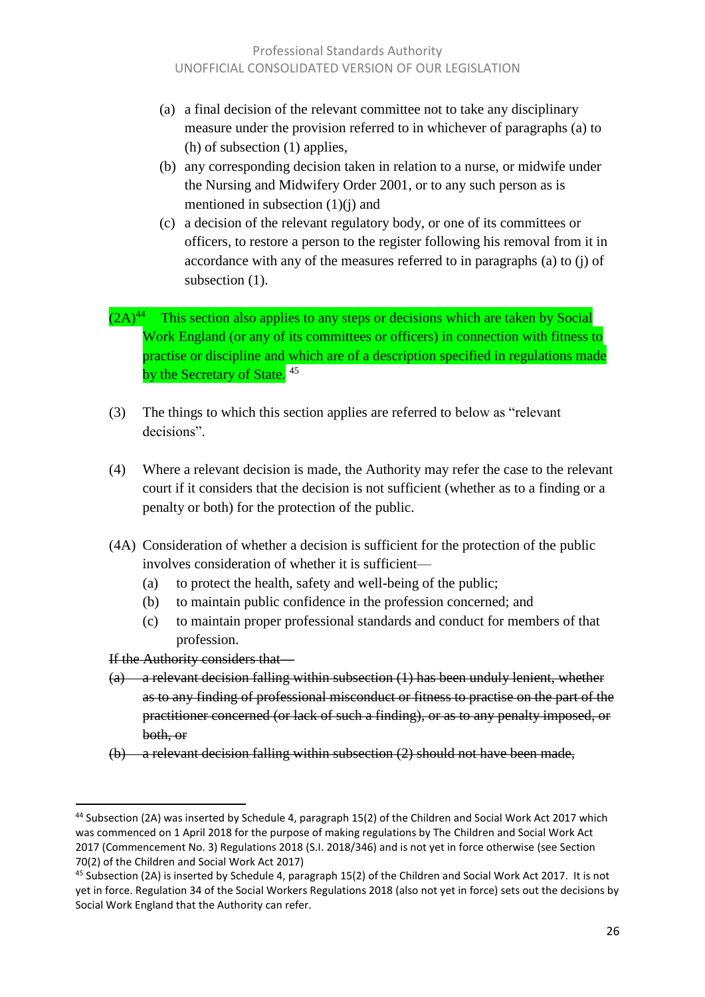- (a) a final decision of the relevant committee not to take any disciplinary measure under the provision referred to in whichever of paragraphs (a) to (h) of subsection (1) applies,
- (b) any corresponding decision taken in relation to a nurse, or midwife under the Nursing and Midwifery Order 2001, or to any such person as is mentioned in subsection (1)(j) and
- (c) a decision of the relevant regulatory body, or one of its committees or officers, to restore a person to the register following his removal from it in accordance with any of the measures referred to in paragraphs (a) to (j) of subsection  $(1)$ .
- $(2A)^{44}$  This section also applies to any steps or decisions which are taken by Social Work England (or any of its committees or officers) in connection with fitness to practise or discipline and which are of a description specified in regulations made by the Secretary of State.<sup>45</sup>
- (3) The things to which this section applies are referred to below as "relevant decisions".
- (4) Where a relevant decision is made, the Authority may refer the case to the relevant court if it considers that the decision is not sufficient (whether as to a finding or a penalty or both) for the protection of the public.
- (4A) Consideration of whether a decision is sufficient for the protection of the public involves consideration of whether it is sufficient—
	- (a) to protect the health, safety and well-being of the public;
	- (b) to maintain public confidence in the profession concerned; and
	- (c) to maintain proper professional standards and conduct for members of that profession.

If the Authority considers that—

- (a) a relevant decision falling within subsection (1) has been unduly lenient, whether as to any finding of professional misconduct or fitness to practise on the part of the practitioner concerned (or lack of such a finding), or as to any penalty imposed, or both, or
- (b) a relevant decision falling within subsection (2) should not have been made,

<sup>&</sup>lt;sup>44</sup> Subsection (2A) was inserted by Schedule 4, paragraph 15(2) of the Children and Social Work Act 2017 which was commenced on 1 April 2018 for the purpose of making regulations by The Children and Social Work Act 2017 (Commencement No. 3) Regulations 2018 (S.I. 2018/346) and is not yet in force otherwise (see Section 70(2) of the Children and Social Work Act 2017)

<sup>45</sup> Subsection (2A) is inserted by Schedule 4, paragraph 15(2) of the Children and Social Work Act 2017. It is not yet in force. Regulation 34 of the Social Workers Regulations 2018 (also not yet in force) sets out the decisions by Social Work England that the Authority can refer.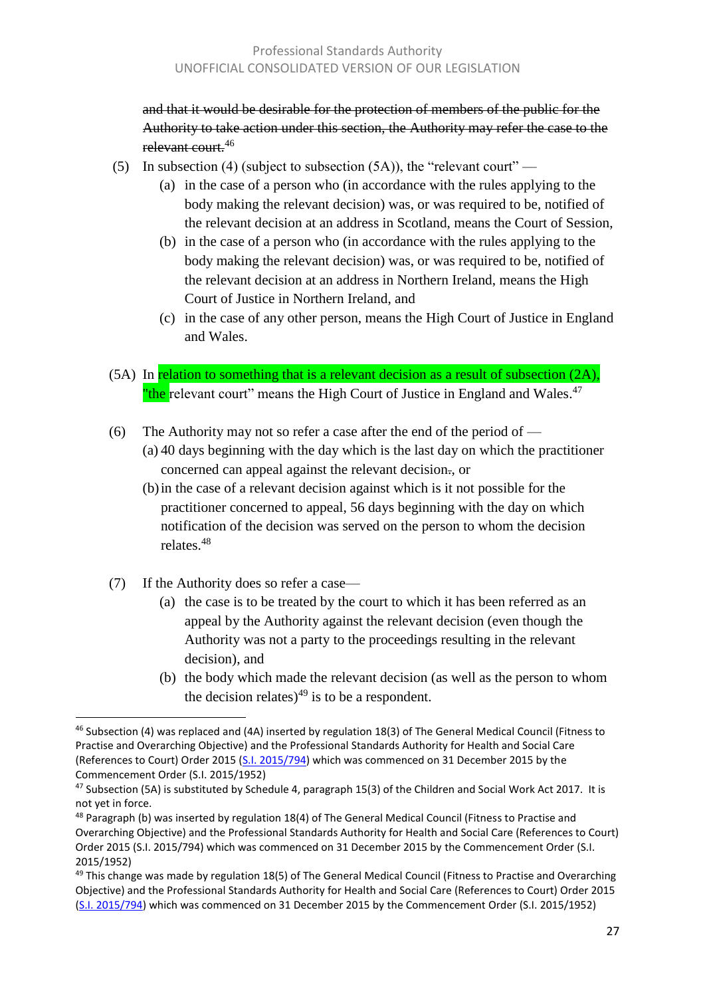and that it would be desirable for the protection of members of the public for the Authority to take action under this section, the Authority may refer the case to the relevant court.<sup>46</sup>

- (5) In subsection (4) (subject to subsection  $(5A)$ ), the "relevant court"
	- (a) in the case of a person who (in accordance with the rules applying to the body making the relevant decision) was, or was required to be, notified of the relevant decision at an address in Scotland, means the Court of Session,
	- (b) in the case of a person who (in accordance with the rules applying to the body making the relevant decision) was, or was required to be, notified of the relevant decision at an address in Northern Ireland, means the High Court of Justice in Northern Ireland, and
	- (c) in the case of any other person, means the High Court of Justice in England and Wales.
- (5A) In relation to something that is a relevant decision as a result of subsection (2A), "the relevant court" means the High Court of Justice in England and Wales.<sup>47</sup>
- (6) The Authority may not so refer a case after the end of the period of (a) 40 days beginning with the day which is the last day on which the practitioner concerned can appeal against the relevant decision., or
	- (b)in the case of a relevant decision against which is it not possible for the practitioner concerned to appeal, 56 days beginning with the day on which notification of the decision was served on the person to whom the decision relates.<sup>48</sup>
- (7) If the Authority does so refer a case—
	- (a) the case is to be treated by the court to which it has been referred as an appeal by the Authority against the relevant decision (even though the Authority was not a party to the proceedings resulting in the relevant decision), and
	- (b) the body which made the relevant decision (as well as the person to whom the decision relates)<sup>49</sup> is to be a respondent.

 $\overline{a}$ <sup>46</sup> Subsection (4) was replaced and (4A) inserted by regulation 18(3) of The General Medical Council (Fitness to Practise and Overarching Objective) and the Professional Standards Authority for Health and Social Care (References to Court) Order 2015 [\(S.I. 2015/794\)](http://www.legislation.gov.uk/uksi/2015/794/contents/made) which was commenced on 31 December 2015 by the Commencement Order (S.I. 2015/1952)

<sup>&</sup>lt;sup>47</sup> Subsection (5A) is substituted by Schedule 4, paragraph 15(3) of the Children and Social Work Act 2017. It is not yet in force.

 $48$  Paragraph (b) was inserted by regulation 18(4) of The General Medical Council (Fitness to Practise and Overarching Objective) and the Professional Standards Authority for Health and Social Care (References to Court) Order 2015 (S.I. 2015/794) which was commenced on 31 December 2015 by the Commencement Order (S.I. 2015/1952)

 $49$  This change was made by regulation 18(5) of The General Medical Council (Fitness to Practise and Overarching Objective) and the Professional Standards Authority for Health and Social Care (References to Court) Order 2015 [\(S.I. 2015/794\)](http://www.legislation.gov.uk/uksi/2015/794/contents/made) which was commenced on 31 December 2015 by the Commencement Order (S.I. 2015/1952)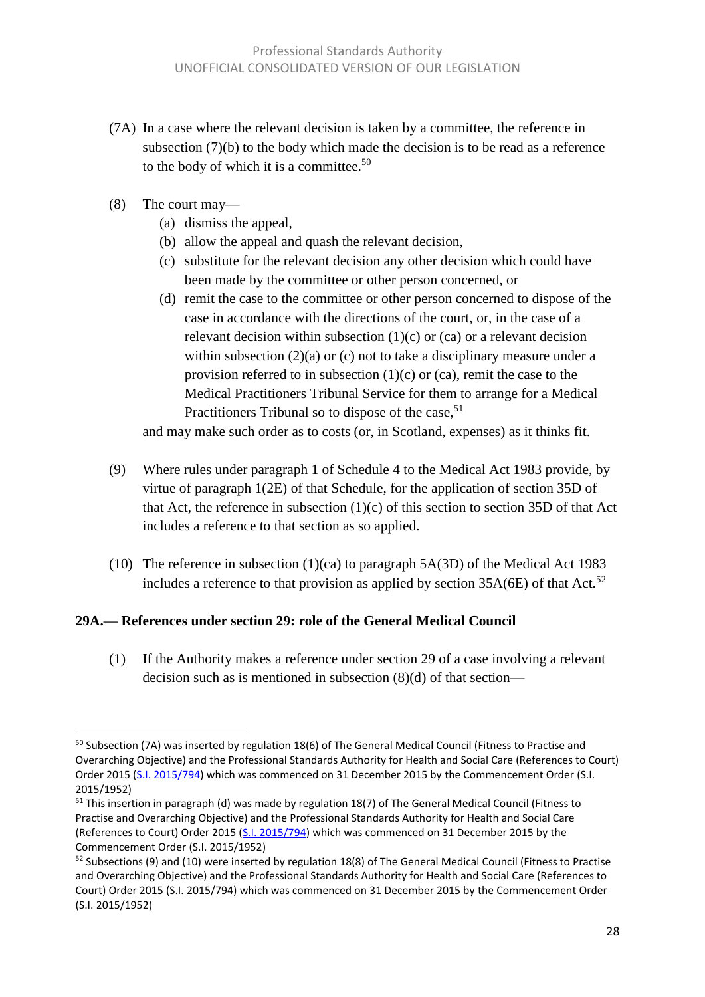- (7A) In a case where the relevant decision is taken by a committee, the reference in subsection (7)(b) to the body which made the decision is to be read as a reference to the body of which it is a committee.<sup>50</sup>
- (8) The court may—

 $\overline{\phantom{a}}$ 

- (a) dismiss the appeal,
- (b) allow the appeal and quash the relevant decision,
- (c) substitute for the relevant decision any other decision which could have been made by the committee or other person concerned, or
- (d) remit the case to the committee or other person concerned to dispose of the case in accordance with the directions of the court, or, in the case of a relevant decision within subsection  $(1)(c)$  or  $(ca)$  or a relevant decision within subsection (2)(a) or (c) not to take a disciplinary measure under a provision referred to in subsection  $(1)(c)$  or  $(ca)$ , remit the case to the Medical Practitioners Tribunal Service for them to arrange for a Medical Practitioners Tribunal so to dispose of the case,<sup>51</sup>

and may make such order as to costs (or, in Scotland, expenses) as it thinks fit.

- (9) Where rules under paragraph 1 of Schedule 4 to the Medical Act 1983 provide, by virtue of paragraph 1(2E) of that Schedule, for the application of section 35D of that Act, the reference in subsection (1)(c) of this section to section 35D of that Act includes a reference to that section as so applied.
- (10) The reference in subsection (1)(ca) to paragraph 5A(3D) of the Medical Act 1983 includes a reference to that provision as applied by section  $35A(6E)$  of that Act.<sup>52</sup>

#### **29A.— References under section 29: role of the General Medical Council**

(1) If the Authority makes a reference under section 29 of a case involving a relevant decision such as is mentioned in subsection (8)(d) of that section—

<sup>&</sup>lt;sup>50</sup> Subsection (7A) was inserted by regulation 18(6) of The General Medical Council (Fitness to Practise and Overarching Objective) and the Professional Standards Authority for Health and Social Care (References to Court) Order 2015 [\(S.I. 2015/794\)](http://www.legislation.gov.uk/uksi/2015/794/contents/made) which was commenced on 31 December 2015 by the Commencement Order (S.I. 2015/1952)

<sup>&</sup>lt;sup>51</sup> This insertion in paragraph (d) was made by regulation 18(7) of The General Medical Council (Fitness to Practise and Overarching Objective) and the Professional Standards Authority for Health and Social Care (References to Court) Order 2015 [\(S.I. 2015/794\)](http://www.legislation.gov.uk/uksi/2015/794/contents/made) which was commenced on 31 December 2015 by the Commencement Order (S.I. 2015/1952)

<sup>&</sup>lt;sup>52</sup> Subsections (9) and (10) were inserted by regulation 18(8) of The General Medical Council (Fitness to Practise and Overarching Objective) and the Professional Standards Authority for Health and Social Care (References to Court) Order 2015 (S.I. 2015/794) which was commenced on 31 December 2015 by the Commencement Order (S.I. 2015/1952)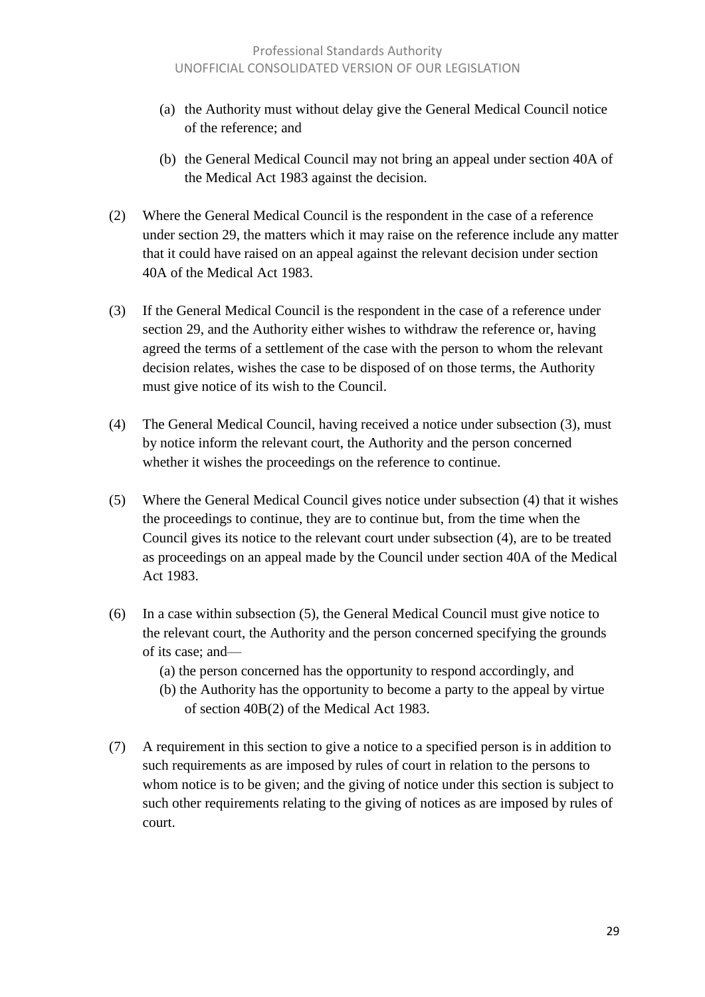- (a) the Authority must without delay give the General Medical Council notice of the reference; and
- (b) the General Medical Council may not bring an appeal under section 40A of the Medical Act 1983 against the decision.
- (2) Where the General Medical Council is the respondent in the case of a reference under section 29, the matters which it may raise on the reference include any matter that it could have raised on an appeal against the relevant decision under section 40A of the Medical Act 1983.
- (3) If the General Medical Council is the respondent in the case of a reference under section 29, and the Authority either wishes to withdraw the reference or, having agreed the terms of a settlement of the case with the person to whom the relevant decision relates, wishes the case to be disposed of on those terms, the Authority must give notice of its wish to the Council.
- (4) The General Medical Council, having received a notice under subsection (3), must by notice inform the relevant court, the Authority and the person concerned whether it wishes the proceedings on the reference to continue.
- (5) Where the General Medical Council gives notice under subsection (4) that it wishes the proceedings to continue, they are to continue but, from the time when the Council gives its notice to the relevant court under subsection (4), are to be treated as proceedings on an appeal made by the Council under section 40A of the Medical Act 1983.
- (6) In a case within subsection (5), the General Medical Council must give notice to the relevant court, the Authority and the person concerned specifying the grounds of its case; and—
	- (a) the person concerned has the opportunity to respond accordingly, and
	- (b) the Authority has the opportunity to become a party to the appeal by virtue of section 40B(2) of the Medical Act 1983.
- (7) A requirement in this section to give a notice to a specified person is in addition to such requirements as are imposed by rules of court in relation to the persons to whom notice is to be given; and the giving of notice under this section is subject to such other requirements relating to the giving of notices as are imposed by rules of court.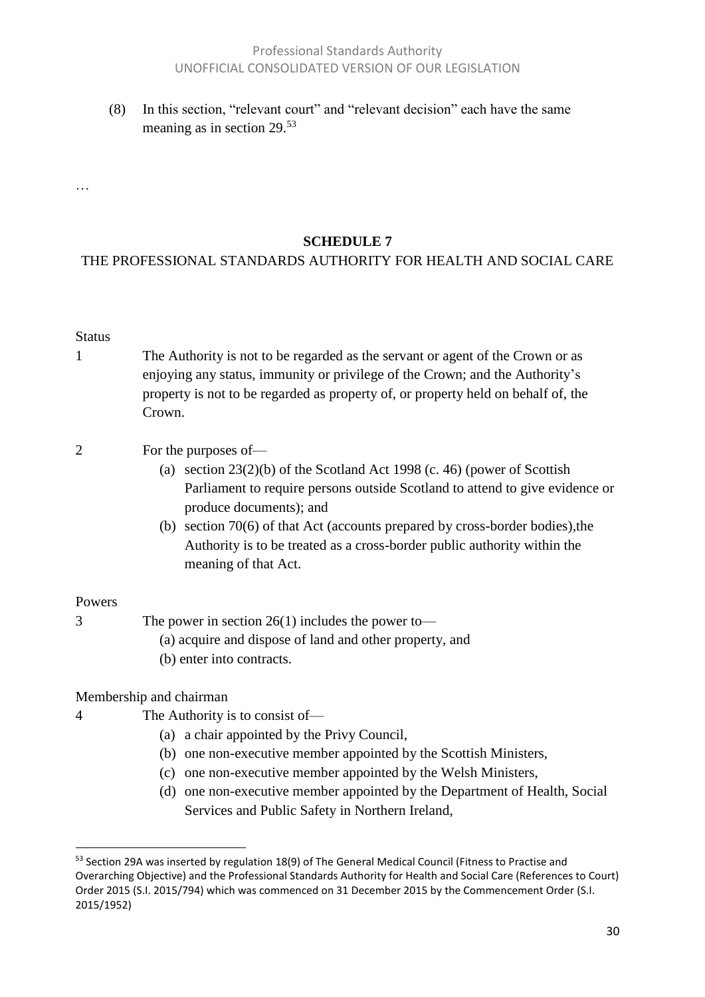#### Professional Standards Authority UNOFFICIAL CONSOLIDATED VERSION OF OUR LEGISLATION

(8) In this section, "relevant court" and "relevant decision" each have the same meaning as in section 29.<sup>53</sup>

**SCHEDULE 7**

#### THE PROFESSIONAL STANDARDS AUTHORITY FOR HEALTH AND SOCIAL CARE

#### Status

…

1 The Authority is not to be regarded as the servant or agent of the Crown or as enjoying any status, immunity or privilege of the Crown; and the Authority's property is not to be regarded as property of, or property held on behalf of, the Crown.

#### 2 For the purposes of—

- (a) section  $23(2)(b)$  of the Scotland Act 1998 (c. 46) (power of Scottish Parliament to require persons outside Scotland to attend to give evidence or produce documents); and
- (b) section 70(6) of that Act (accounts prepared by cross-border bodies),the Authority is to be treated as a cross-border public authority within the meaning of that Act.

#### Powers

 $\overline{a}$ 

3 The power in section 26(1) includes the power to—

- (a) acquire and dispose of land and other property, and
- (b) enter into contracts.

Membership and chairman

- 4 The Authority is to consist of—
	- (a) a chair appointed by the Privy Council,
	- (b) one non-executive member appointed by the Scottish Ministers,
	- (c) one non-executive member appointed by the Welsh Ministers,
	- (d) one non-executive member appointed by the Department of Health, Social Services and Public Safety in Northern Ireland,

<sup>53</sup> Section 29A was inserted by regulation 18(9) of The General Medical Council (Fitness to Practise and Overarching Objective) and the Professional Standards Authority for Health and Social Care (References to Court) Order 2015 (S.I. 2015/794) which was commenced on 31 December 2015 by the Commencement Order (S.I. 2015/1952)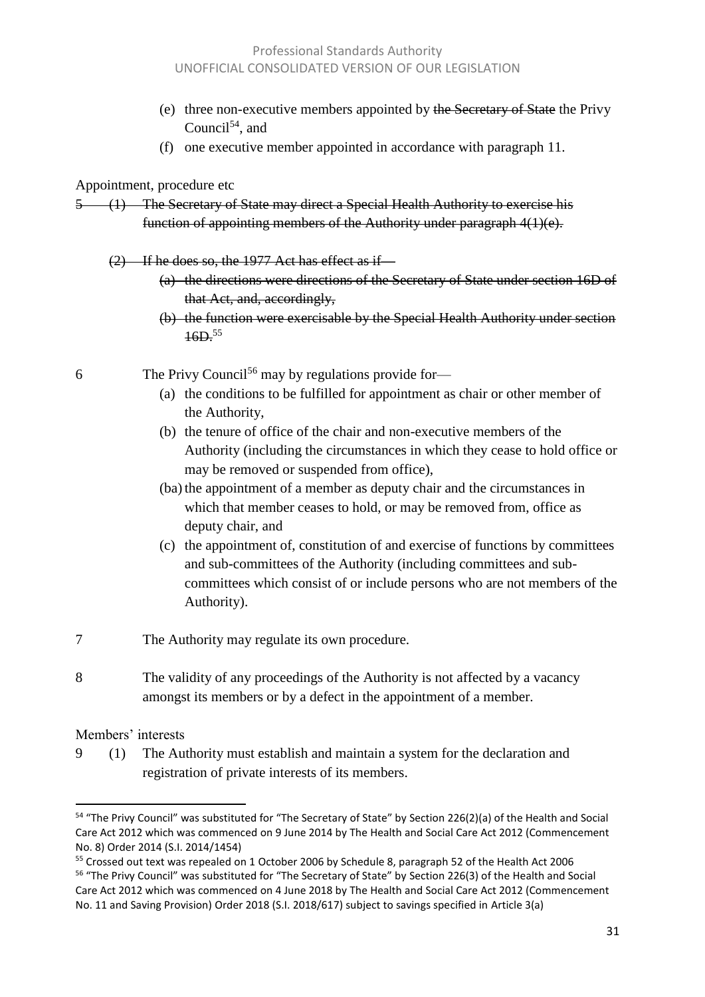- (e) three non-executive members appointed by the Secretary of State the Privy Council $54$ , and
- (f) one executive member appointed in accordance with paragraph 11.

#### Appointment, procedure etc

- 5 (1) The Secretary of State may direct a Special Health Authority to exercise his function of appointing members of the Authority under paragraph 4(1)(e).
	- $(2)$  If he does so, the 1977 Act has effect as if  $-$ 
		- (a) the directions were directions of the Secretary of State under section 16D of that Act, and, accordingly,
		- (b) the function were exercisable by the Special Health Authority under section 16D.<sup>55</sup>
- 6 The Privy Council<sup>56</sup> may by regulations provide for-
	- (a) the conditions to be fulfilled for appointment as chair or other member of the Authority,
	- (b) the tenure of office of the chair and non-executive members of the Authority (including the circumstances in which they cease to hold office or may be removed or suspended from office),
	- (ba) the appointment of a member as deputy chair and the circumstances in which that member ceases to hold, or may be removed from, office as deputy chair, and
	- (c) the appointment of, constitution of and exercise of functions by committees and sub-committees of the Authority (including committees and subcommittees which consist of or include persons who are not members of the Authority).
- 7 The Authority may regulate its own procedure.
- 8 The validity of any proceedings of the Authority is not affected by a vacancy amongst its members or by a defect in the appointment of a member.

#### Members' interests

 $\overline{\phantom{a}}$ 

9 (1) The Authority must establish and maintain a system for the declaration and registration of private interests of its members.

<sup>&</sup>lt;sup>54</sup> "The Privy Council" was substituted for "The Secretary of State" by Section 226(2)(a) of the Health and Social Care Act 2012 which was commenced on 9 June 2014 by The Health and Social Care Act 2012 (Commencement No. 8) Order 2014 (S.I. 2014/1454)

<sup>&</sup>lt;sup>55</sup> Crossed out text was repealed on 1 October 2006 by Schedule 8, paragraph 52 of the Health Act 2006 <sup>56</sup> "The Privy Council" was substituted for "The Secretary of State" by Section 226(3) of the Health and Social Care Act 2012 which was commenced on 4 June 2018 by The Health and Social Care Act 2012 (Commencement No. 11 and Saving Provision) Order 2018 (S.I. 2018/617) subject to savings specified in Article 3(a)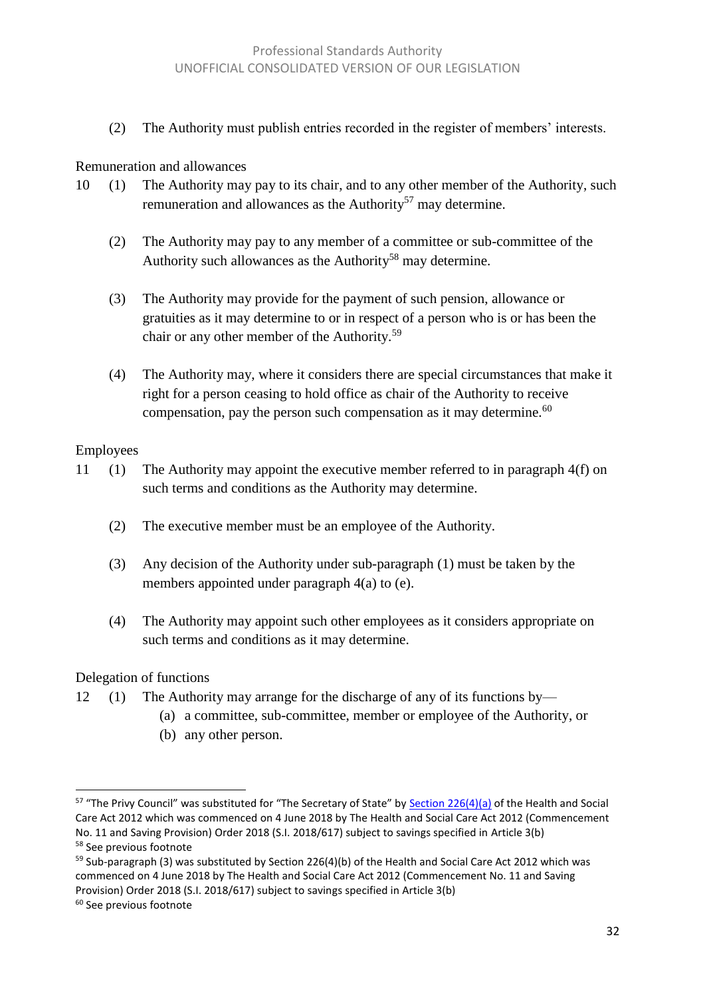(2) The Authority must publish entries recorded in the register of members' interests.

#### Remuneration and allowances

- 10 (1) The Authority may pay to its chair, and to any other member of the Authority, such remuneration and allowances as the Authority<sup>57</sup> may determine.
	- (2) The Authority may pay to any member of a committee or sub-committee of the Authority such allowances as the Authority<sup>58</sup> may determine.
	- (3) The Authority may provide for the payment of such pension, allowance or gratuities as it may determine to or in respect of a person who is or has been the chair or any other member of the Authority.<sup>59</sup>
	- (4) The Authority may, where it considers there are special circumstances that make it right for a person ceasing to hold office as chair of the Authority to receive compensation, pay the person such compensation as it may determine.<sup>60</sup>

#### Employees

- 11 (1) The Authority may appoint the executive member referred to in paragraph 4(f) on such terms and conditions as the Authority may determine.
	- (2) The executive member must be an employee of the Authority.
	- (3) Any decision of the Authority under sub-paragraph (1) must be taken by the members appointed under paragraph 4(a) to (e).
	- (4) The Authority may appoint such other employees as it considers appropriate on such terms and conditions as it may determine.

#### Delegation of functions

- 12 (1) The Authority may arrange for the discharge of any of its functions by—
	- (a) a committee, sub-committee, member or employee of the Authority, or
	- (b) any other person.

 $\overline{a}$ 

<sup>&</sup>lt;sup>57</sup> "The Privy Council" was substituted for "The Secretary of State" by **[Section 226\(4\)\(a\)](http://www.legislation.gov.uk/ukpga/2012/7/section/226)** of the Health and Social Care Act 2012 which was commenced on 4 June 2018 by The Health and Social Care Act 2012 (Commencement No. 11 and Saving Provision) Order 2018 (S.I. 2018/617) subject to savings specified in Article 3(b) 58 See previous footnote

 $59$  Sub-paragraph (3) was substituted by Section 226(4)(b) of the Health and Social Care Act 2012 which was commenced on 4 June 2018 by The Health and Social Care Act 2012 (Commencement No. 11 and Saving Provision) Order 2018 (S.I. 2018/617) subject to savings specified in Article 3(b)

<sup>&</sup>lt;sup>60</sup> See previous footnote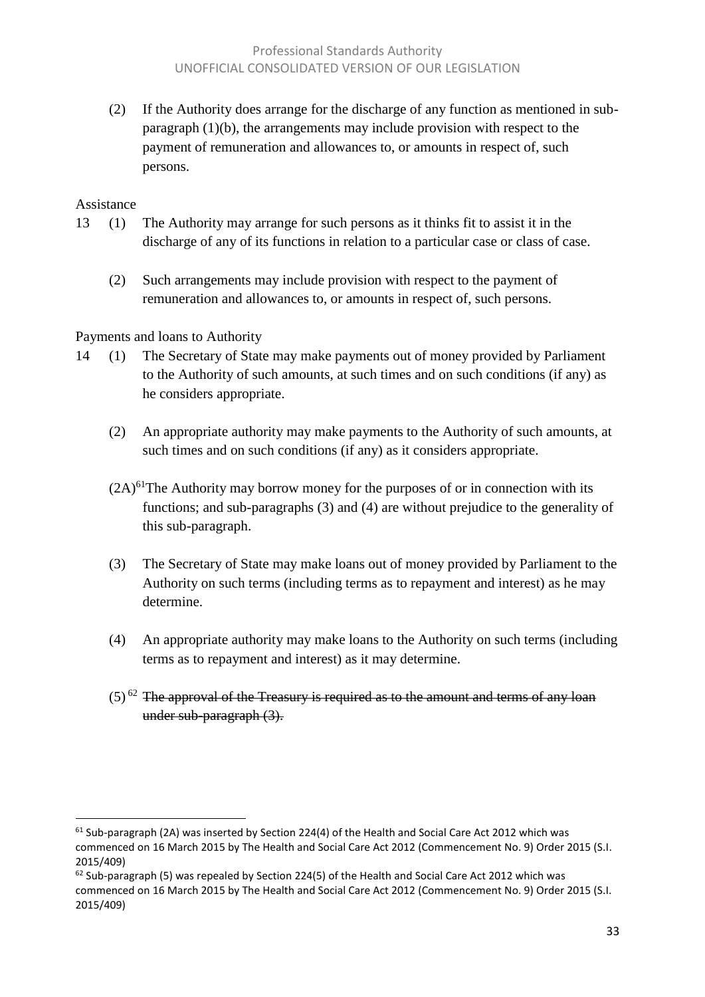(2) If the Authority does arrange for the discharge of any function as mentioned in subparagraph (1)(b), the arrangements may include provision with respect to the payment of remuneration and allowances to, or amounts in respect of, such persons.

#### Assistance

 $\overline{\phantom{a}}$ 

- 13 (1) The Authority may arrange for such persons as it thinks fit to assist it in the discharge of any of its functions in relation to a particular case or class of case.
	- (2) Such arrangements may include provision with respect to the payment of remuneration and allowances to, or amounts in respect of, such persons.

#### Payments and loans to Authority

- 14 (1) The Secretary of State may make payments out of money provided by Parliament to the Authority of such amounts, at such times and on such conditions (if any) as he considers appropriate.
	- (2) An appropriate authority may make payments to the Authority of such amounts, at such times and on such conditions (if any) as it considers appropriate.
	- $(2A)^{61}$ The Authority may borrow money for the purposes of or in connection with its functions; and sub-paragraphs (3) and (4) are without prejudice to the generality of this sub-paragraph.
	- (3) The Secretary of State may make loans out of money provided by Parliament to the Authority on such terms (including terms as to repayment and interest) as he may determine.
	- (4) An appropriate authority may make loans to the Authority on such terms (including terms as to repayment and interest) as it may determine.
	- $(5)$ <sup>62</sup> The approval of the Treasury is required as to the amount and terms of any loan under sub-paragraph (3).

<sup>&</sup>lt;sup>61</sup> Sub-paragraph (2A) was inserted by Section 224(4) of the Health and Social Care Act 2012 which was commenced on 16 March 2015 by The Health and Social Care Act 2012 (Commencement No. 9) Order 2015 (S.I. 2015/409)

 $62$  Sub-paragraph (5) was repealed by Section 224(5) of the Health and Social Care Act 2012 which was commenced on 16 March 2015 by The Health and Social Care Act 2012 (Commencement No. 9) Order 2015 (S.I. 2015/409)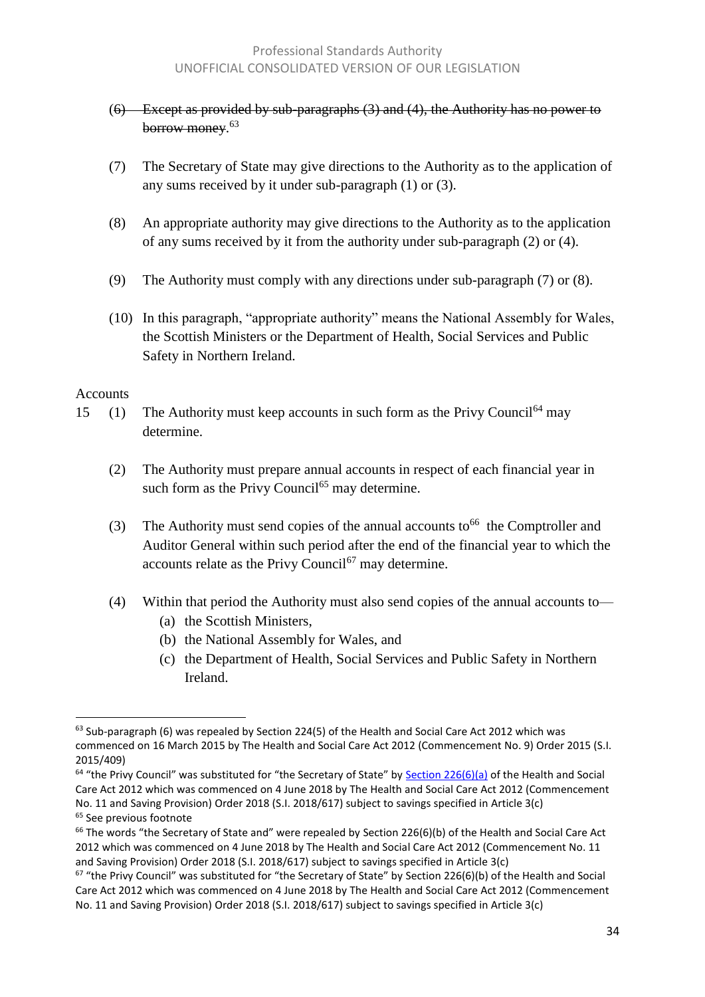- (6) Except as provided by sub-paragraphs (3) and (4), the Authority has no power to borrow money. 63
- (7) The Secretary of State may give directions to the Authority as to the application of any sums received by it under sub-paragraph (1) or (3).
- (8) An appropriate authority may give directions to the Authority as to the application of any sums received by it from the authority under sub-paragraph (2) or (4).
- (9) The Authority must comply with any directions under sub-paragraph (7) or (8).
- (10) In this paragraph, "appropriate authority" means the National Assembly for Wales, the Scottish Ministers or the Department of Health, Social Services and Public Safety in Northern Ireland.

#### Accounts

 $\overline{a}$ 

- 15 (1) The Authority must keep accounts in such form as the Privy Council  $64$  may determine.
	- (2) The Authority must prepare annual accounts in respect of each financial year in such form as the Privy Council<sup> $65$ </sup> may determine.
	- (3) The Authority must send copies of the annual accounts to <sup>66</sup> the Comptroller and Auditor General within such period after the end of the financial year to which the accounts relate as the Privy Council $67$  may determine.
	- (4) Within that period the Authority must also send copies of the annual accounts to—
		- (a) the Scottish Ministers,
		- (b) the National Assembly for Wales, and
		- (c) the Department of Health, Social Services and Public Safety in Northern Ireland.

 $63$  Sub-paragraph (6) was repealed by Section 224(5) of the Health and Social Care Act 2012 which was commenced on 16 March 2015 by The Health and Social Care Act 2012 (Commencement No. 9) Order 2015 (S.I. 2015/409)

 $64$  "the Privy Council" was substituted for "the Secretary of State" by [Section 226\(6\)\(a\)](http://www.legislation.gov.uk/ukpga/2012/7/section/226) of the Health and Social Care Act 2012 which was commenced on 4 June 2018 by The Health and Social Care Act 2012 (Commencement No. 11 and Saving Provision) Order 2018 (S.I. 2018/617) subject to savings specified in Article 3(c) <sup>65</sup> See previous footnote

 $66$  The words "the Secretary of State and" were repealed by Section 226(6)(b) of the Health and Social Care Act 2012 which was commenced on 4 June 2018 by The Health and Social Care Act 2012 (Commencement No. 11 and Saving Provision) Order 2018 (S.I. 2018/617) subject to savings specified in Article 3(c)

 $67$  "the Privy Council" was substituted for "the Secretary of State" by Section 226(6)(b) of the Health and Social Care Act 2012 which was commenced on 4 June 2018 by The Health and Social Care Act 2012 (Commencement No. 11 and Saving Provision) Order 2018 (S.I. 2018/617) subject to savings specified in Article 3(c)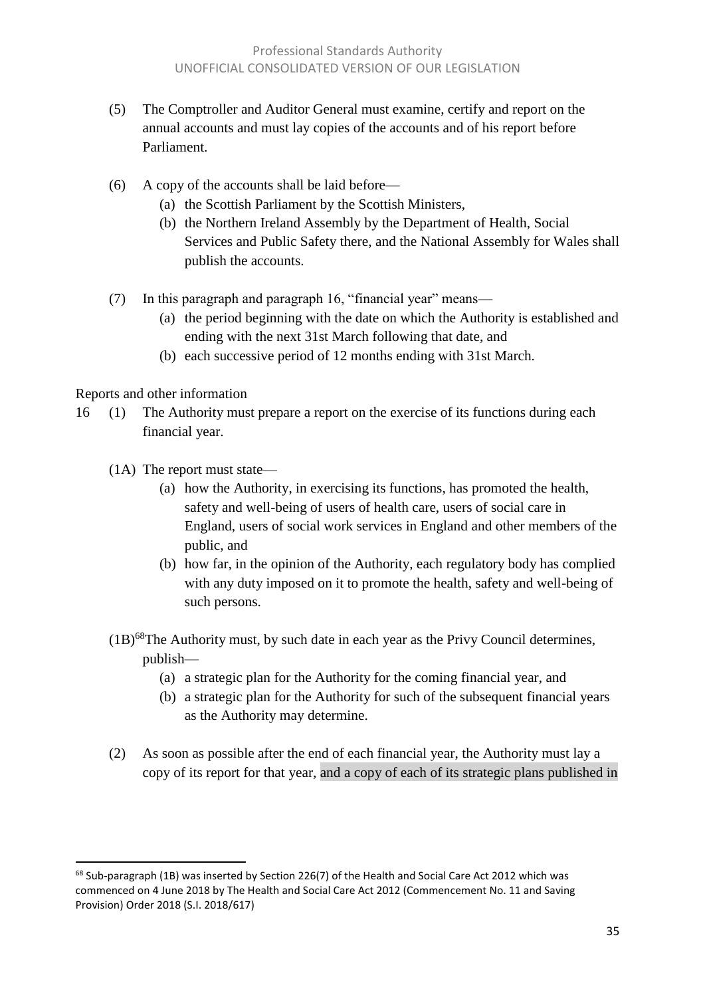- (5) The Comptroller and Auditor General must examine, certify and report on the annual accounts and must lay copies of the accounts and of his report before Parliament.
- (6) A copy of the accounts shall be laid before—
	- (a) the Scottish Parliament by the Scottish Ministers,
	- (b) the Northern Ireland Assembly by the Department of Health, Social Services and Public Safety there, and the National Assembly for Wales shall publish the accounts.
- (7) In this paragraph and paragraph 16, "financial year" means—
	- (a) the period beginning with the date on which the Authority is established and ending with the next 31st March following that date, and
	- (b) each successive period of 12 months ending with 31st March.

#### Reports and other information

- 16 (1) The Authority must prepare a report on the exercise of its functions during each financial year.
	- (1A) The report must state—
		- (a) how the Authority, in exercising its functions, has promoted the health, safety and well-being of users of health care, users of social care in England, users of social work services in England and other members of the public, and
		- (b) how far, in the opinion of the Authority, each regulatory body has complied with any duty imposed on it to promote the health, safety and well-being of such persons.
	- $(1B)^{68}$ The Authority must, by such date in each year as the Privy Council determines, publish—
		- (a) a strategic plan for the Authority for the coming financial year, and
		- (b) a strategic plan for the Authority for such of the subsequent financial years as the Authority may determine.
	- (2) As soon as possible after the end of each financial year, the Authority must lay a copy of its report for that year, and a copy of each of its strategic plans published in

<sup>&</sup>lt;sup>68</sup> Sub-paragraph (1B) was inserted by Section 226(7) of the Health and Social Care Act 2012 which was commenced on 4 June 2018 by The Health and Social Care Act 2012 (Commencement No. 11 and Saving Provision) Order 2018 (S.I. 2018/617)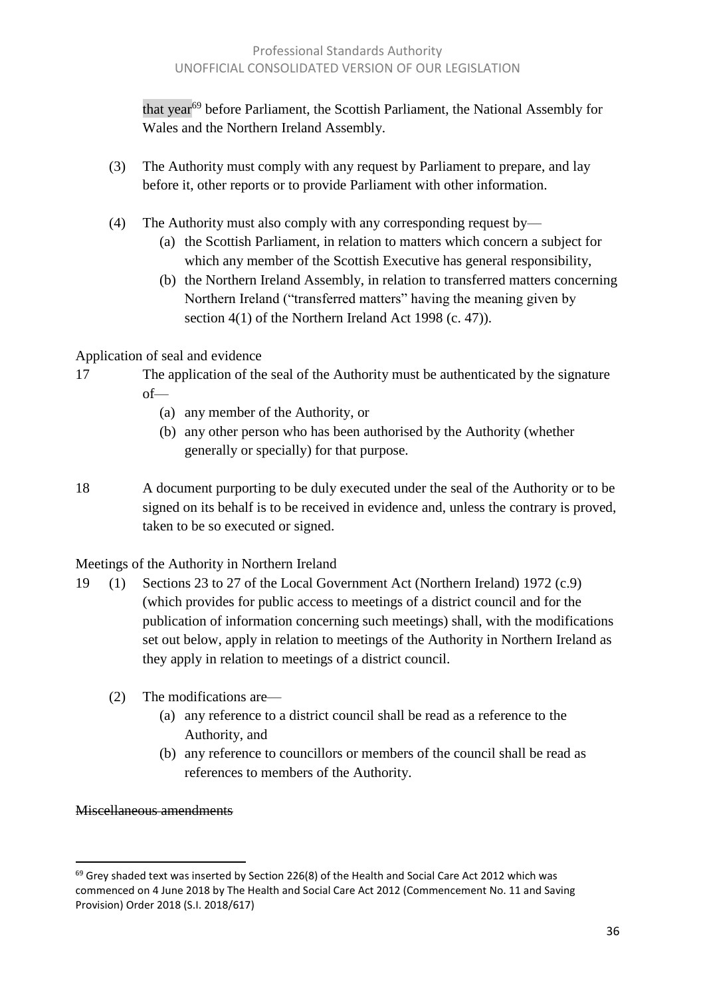that year<sup>69</sup> before Parliament, the Scottish Parliament, the National Assembly for Wales and the Northern Ireland Assembly.

- (3) The Authority must comply with any request by Parliament to prepare, and lay before it, other reports or to provide Parliament with other information.
- (4) The Authority must also comply with any corresponding request by—
	- (a) the Scottish Parliament, in relation to matters which concern a subject for which any member of the Scottish Executive has general responsibility,
	- (b) the Northern Ireland Assembly, in relation to transferred matters concerning Northern Ireland ("transferred matters" having the meaning given by section 4(1) of the Northern Ireland Act 1998 (c. 47)).

Application of seal and evidence

- 17 The application of the seal of the Authority must be authenticated by the signature of—
	- (a) any member of the Authority, or
	- (b) any other person who has been authorised by the Authority (whether generally or specially) for that purpose.
- 18 A document purporting to be duly executed under the seal of the Authority or to be signed on its behalf is to be received in evidence and, unless the contrary is proved, taken to be so executed or signed.

Meetings of the Authority in Northern Ireland

- 19 (1) Sections 23 to 27 of the Local Government Act (Northern Ireland) 1972 (c.9) (which provides for public access to meetings of a district council and for the publication of information concerning such meetings) shall, with the modifications set out below, apply in relation to meetings of the Authority in Northern Ireland as they apply in relation to meetings of a district council.
	- (2) The modifications are—
		- (a) any reference to a district council shall be read as a reference to the Authority, and
		- (b) any reference to councillors or members of the council shall be read as references to members of the Authority.

#### Miscellaneous amendments

 $69$  Grey shaded text was inserted by Section 226(8) of the Health and Social Care Act 2012 which was commenced on 4 June 2018 by The Health and Social Care Act 2012 (Commencement No. 11 and Saving Provision) Order 2018 (S.I. 2018/617)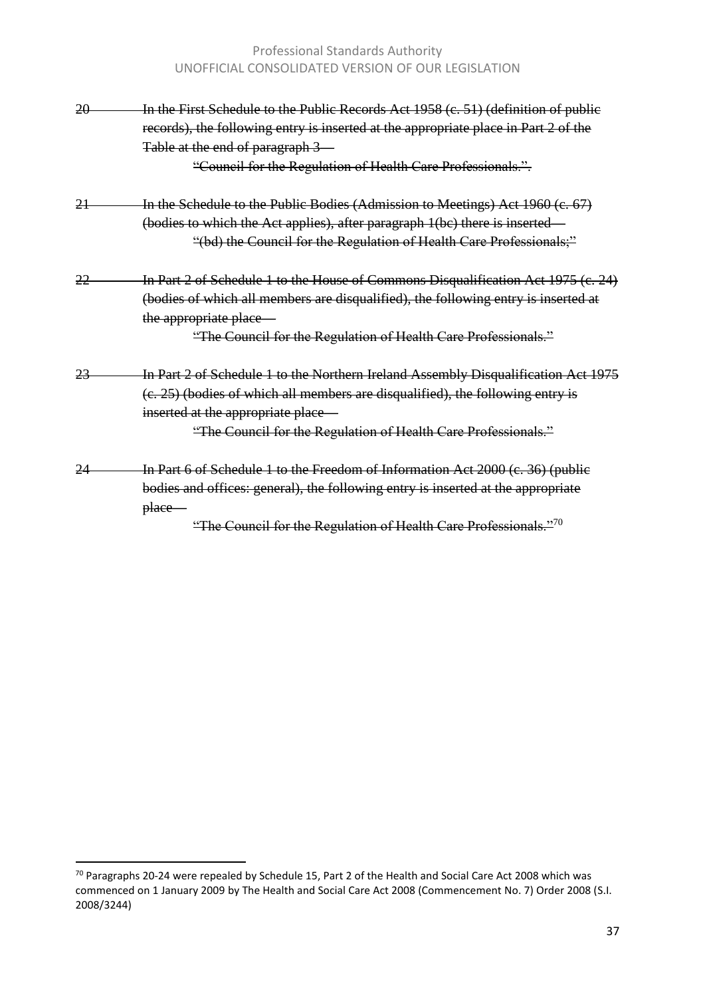#### Professional Standards Authority UNOFFICIAL CONSOLIDATED VERSION OF OUR LEGISLATION

| 20 | In the First Schedule to the Public Records Act 1958 (c. 51) (definition of public<br>records), the following entry is inserted at the appropriate place in Part 2 of the<br>Table at the end of paragraph 3<br>"Council for the Regulation of Health Care Professionals.".   |
|----|-------------------------------------------------------------------------------------------------------------------------------------------------------------------------------------------------------------------------------------------------------------------------------|
| 21 | In the Schedule to the Public Bodies (Admission to Meetings) Act 1960 (c. 67)<br>(bodies to which the Act applies), after paragraph 1(bc) there is inserted –                                                                                                                 |
|    | "(bd) the Council for the Regulation of Health Care Professionals;"                                                                                                                                                                                                           |
| 22 | In Part 2 of Schedule 1 to the House of Commons Disqualification Act 1975 (c. 24)<br>(bodies of which all members are disqualified), the following entry is inserted at<br>the appropriate place<br>"The Council for the Regulation of Health Care Professionals."            |
| 23 | In Part 2 of Schedule 1 to the Northern Ireland Assembly Disqualification Act 1975<br>$(e. 25)$ (bodies of which all members are disqualified), the following entry is<br>inserted at the appropriate place<br>"The Council for the Regulation of Health Care Professionals." |
| 24 | In Part 6 of Schedule 1 to the Freedom of Information Act 2000 (c. 36) (public<br>bodies and offices: general), the following entry is inserted at the appropriate<br><del>place</del><br>"The Council for the Regulation of Health Care Professionals." <sup>70</sup>        |

 $^{70}$  Paragraphs 20-24 were repealed by Schedule 15, Part 2 of the Health and Social Care Act 2008 which was commenced on 1 January 2009 by The Health and Social Care Act 2008 (Commencement No. 7) Order 2008 (S.I. 2008/3244)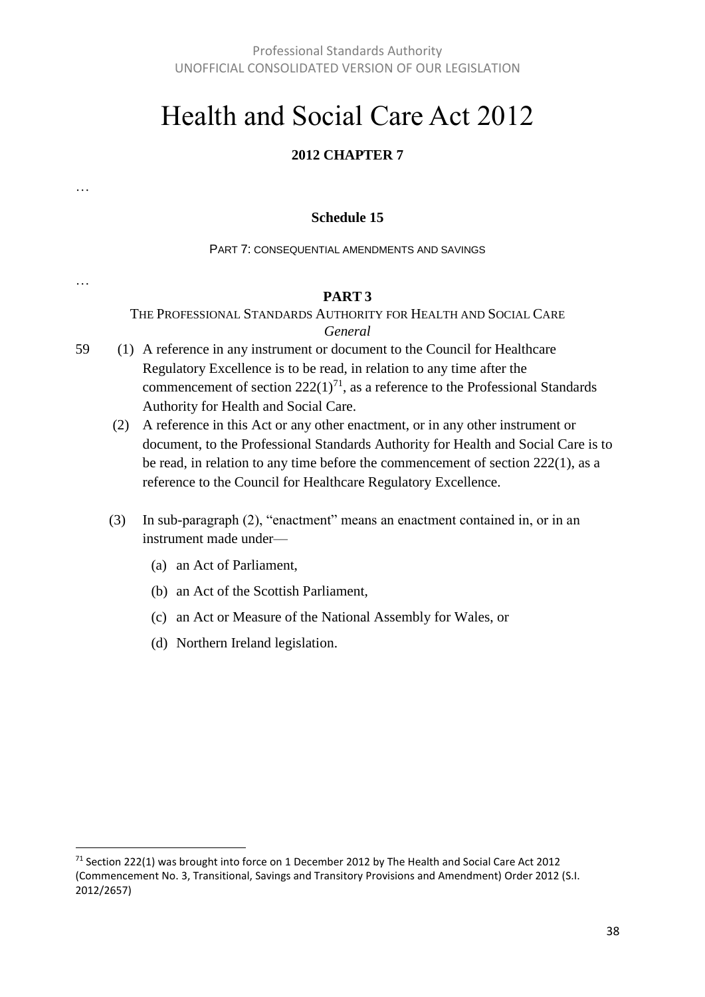## Health and Social Care Act 2012

#### **2012 CHAPTER 7**

#### **Schedule 15**

PART 7: CONSEQUENTIAL AMENDMENTS AND SAVINGS

#### **PART 3**

THE PROFESSIONAL STANDARDS AUTHORITY FOR HEALTH AND SOCIAL CARE *General*

- 59 (1) A reference in any instrument or document to the Council for Healthcare Regulatory Excellence is to be read, in relation to any time after the commencement of section  $222(1)^{71}$ , as a reference to the Professional Standards Authority for Health and Social Care.
	- (2) A reference in this Act or any other enactment, or in any other instrument or document, to the Professional Standards Authority for Health and Social Care is to be read, in relation to any time before the commencement of section 222(1), as a reference to the Council for Healthcare Regulatory Excellence.
	- (3) In sub-paragraph (2), "enactment" means an enactment contained in, or in an instrument made under—
		- (a) an Act of Parliament,

…

…

 $\overline{a}$ 

- (b) an Act of the Scottish Parliament,
- (c) an Act or Measure of the National Assembly for Wales, or
- (d) Northern Ireland legislation.

<sup>&</sup>lt;sup>71</sup> Section 222(1) was brought into force on 1 December 2012 by The Health and Social Care Act 2012 (Commencement No. 3, Transitional, Savings and Transitory Provisions and Amendment) Order 2012 (S.I. 2012/2657)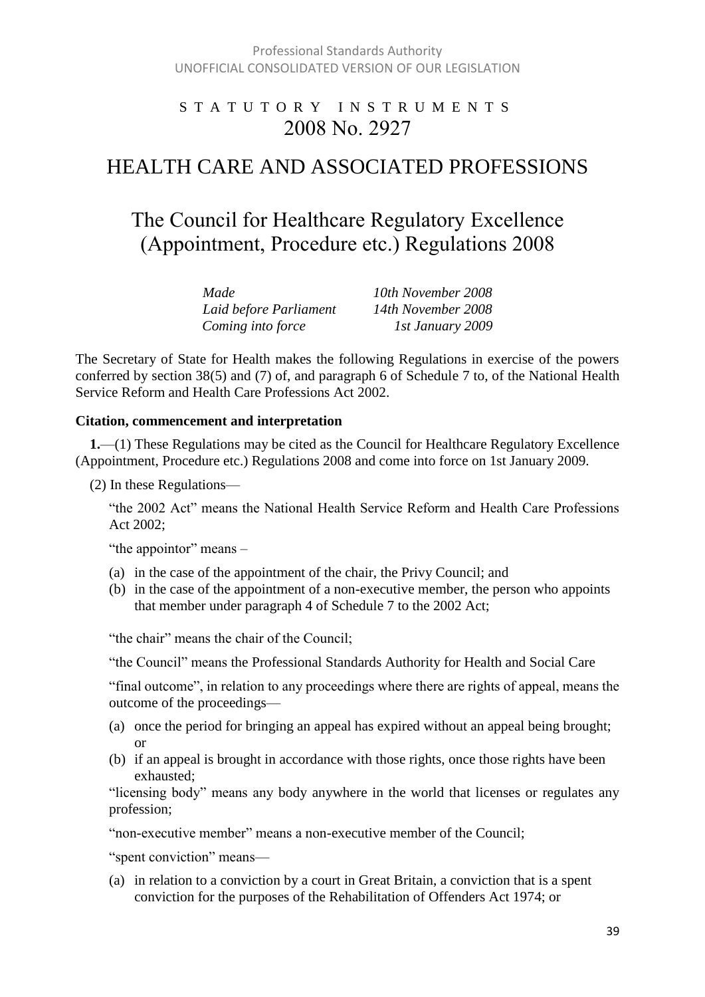### S T A T U T O R Y I N S T R U M E N T S 2008 No. 2927

## HEALTH CARE AND ASSOCIATED PROFESSIONS

## The Council for Healthcare Regulatory Excellence (Appointment, Procedure etc.) Regulations 2008

| Made                   | 10th November 2008 |
|------------------------|--------------------|
| Laid before Parliament | 14th November 2008 |
| Coming into force      | 1st January 2009   |

The Secretary of State for Health makes the following Regulations in exercise of the powers conferred by section 38(5) and (7) of, and paragraph 6 of Schedule 7 to, of the National Health Service Reform and Health Care Professions Act 2002.

#### **Citation, commencement and interpretation**

**1.**—(1) These Regulations may be cited as the Council for Healthcare Regulatory Excellence (Appointment, Procedure etc.) Regulations 2008 and come into force on 1st January 2009.

(2) In these Regulations—

"the 2002 Act" means the National Health Service Reform and Health Care Professions Act 2002;

"the appointor" means –

- (a) in the case of the appointment of the chair, the Privy Council; and
- (b) in the case of the appointment of a non-executive member, the person who appoints that member under paragraph 4 of Schedule 7 to the 2002 Act;

"the chair" means the chair of the Council;

"the Council" means the Professional Standards Authority for Health and Social Care

"final outcome", in relation to any proceedings where there are rights of appeal, means the outcome of the proceedings—

- (a) once the period for bringing an appeal has expired without an appeal being brought; or
- (b) if an appeal is brought in accordance with those rights, once those rights have been exhausted;

"licensing body" means any body anywhere in the world that licenses or regulates any profession;

"non-executive member" means a non-executive member of the Council;

"spent conviction" means—

(a) in relation to a conviction by a court in Great Britain, a conviction that is a spent conviction for the purposes of the Rehabilitation of Offenders Act 1974; or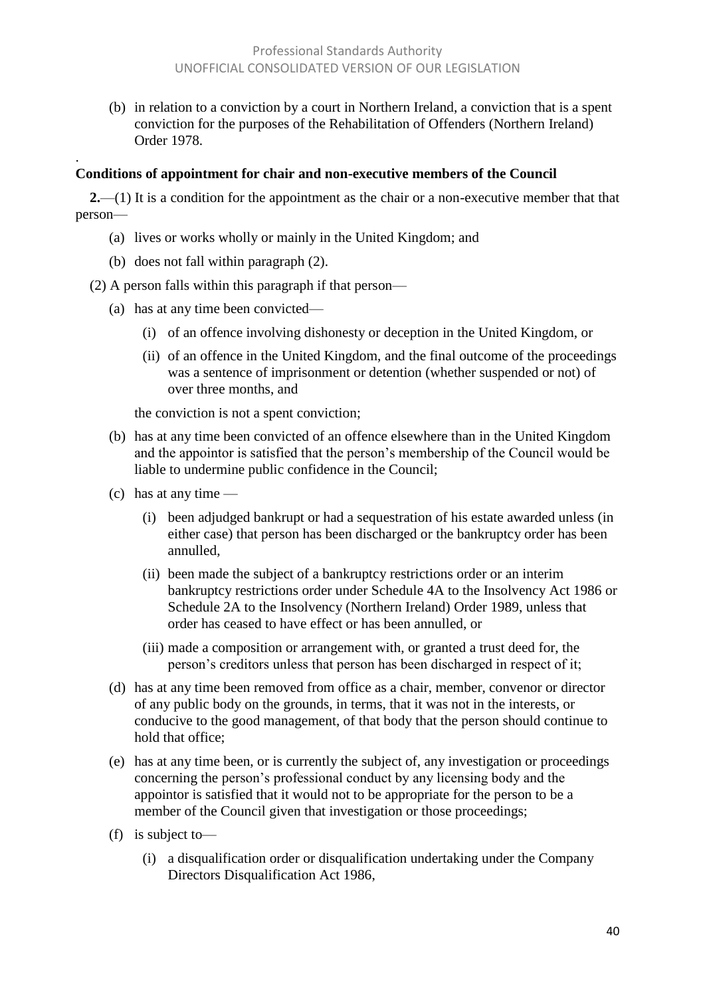(b) in relation to a conviction by a court in Northern Ireland, a conviction that is a spent conviction for the purposes of the Rehabilitation of Offenders (Northern Ireland) Order 1978.

#### **Conditions of appointment for chair and non-executive members of the Council**

**2.**—(1) It is a condition for the appointment as the chair or a non-executive member that that person—

- (a) lives or works wholly or mainly in the United Kingdom; and
- (b) does not fall within paragraph (2).

.

(2) A person falls within this paragraph if that person—

- (a) has at any time been convicted—
	- (i) of an offence involving dishonesty or deception in the United Kingdom, or
	- (ii) of an offence in the United Kingdom, and the final outcome of the proceedings was a sentence of imprisonment or detention (whether suspended or not) of over three months, and

the conviction is not a spent conviction;

- (b) has at any time been convicted of an offence elsewhere than in the United Kingdom and the appointor is satisfied that the person's membership of the Council would be liable to undermine public confidence in the Council;
- (c) has at any time
	- (i) been adjudged bankrupt or had a sequestration of his estate awarded unless (in either case) that person has been discharged or the bankruptcy order has been annulled,
	- (ii) been made the subject of a bankruptcy restrictions order or an interim bankruptcy restrictions order under Schedule 4A to the Insolvency Act 1986 or Schedule 2A to the Insolvency (Northern Ireland) Order 1989, unless that order has ceased to have effect or has been annulled, or
	- (iii) made a composition or arrangement with, or granted a trust deed for, the person's creditors unless that person has been discharged in respect of it;
- (d) has at any time been removed from office as a chair, member, convenor or director of any public body on the grounds, in terms, that it was not in the interests, or conducive to the good management, of that body that the person should continue to hold that office;
- (e) has at any time been, or is currently the subject of, any investigation or proceedings concerning the person's professional conduct by any licensing body and the appointor is satisfied that it would not to be appropriate for the person to be a member of the Council given that investigation or those proceedings;
- (f) is subject to—
	- (i) a disqualification order or disqualification undertaking under the Company Directors Disqualification Act 1986,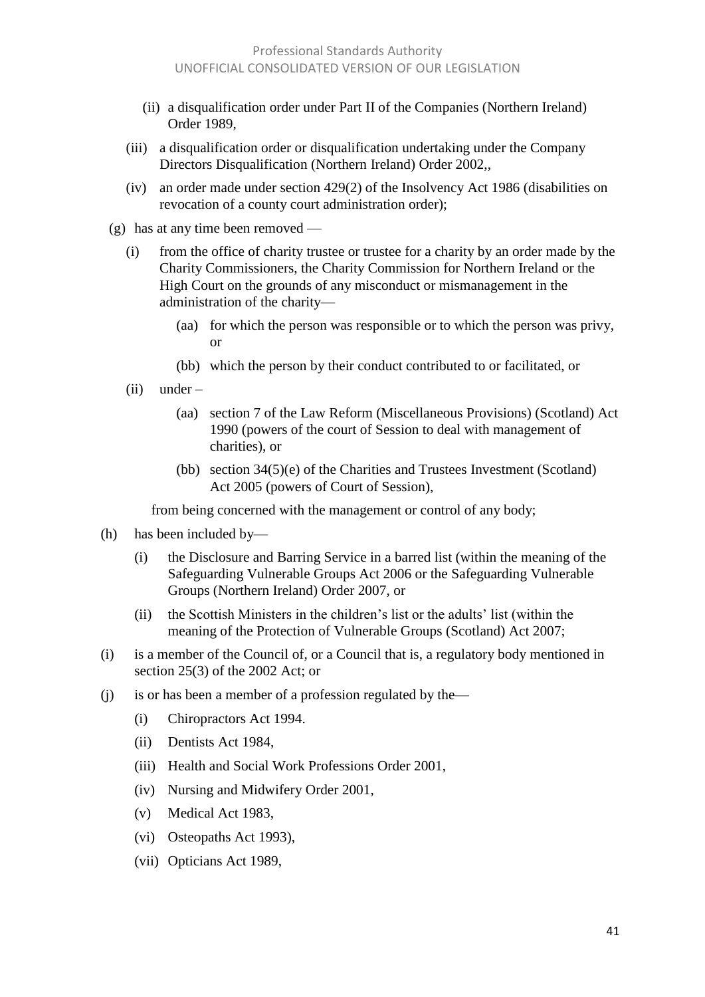- (ii) a disqualification order under Part II of the Companies (Northern Ireland) Order 1989,
- (iii) a disqualification order or disqualification undertaking under the Company Directors Disqualification (Northern Ireland) Order 2002,,
- (iv) an order made under section 429(2) of the Insolvency Act 1986 (disabilities on revocation of a county court administration order);
- (g) has at any time been removed
	- (i) from the office of charity trustee or trustee for a charity by an order made by the Charity Commissioners, the Charity Commission for Northern Ireland or the High Court on the grounds of any misconduct or mismanagement in the administration of the charity—
		- (aa) for which the person was responsible or to which the person was privy, or
		- (bb) which the person by their conduct contributed to or facilitated, or
	- (ii) under
		- (aa) section 7 of the Law Reform (Miscellaneous Provisions) (Scotland) Act 1990 (powers of the court of Session to deal with management of charities), or
		- (bb) section 34(5)(e) of the Charities and Trustees Investment (Scotland) Act 2005 (powers of Court of Session),

from being concerned with the management or control of any body;

- (h) has been included by—
	- (i) the Disclosure and Barring Service in a barred list (within the meaning of the Safeguarding Vulnerable Groups Act 2006 or the Safeguarding Vulnerable Groups (Northern Ireland) Order 2007, or
	- (ii) the Scottish Ministers in the children's list or the adults' list (within the meaning of the Protection of Vulnerable Groups (Scotland) Act 2007;
- (i) is a member of the Council of, or a Council that is, a regulatory body mentioned in section 25(3) of the 2002 Act; or
- (j) is or has been a member of a profession regulated by the—
	- (i) Chiropractors Act 1994.
	- (ii) Dentists Act 1984,
	- (iii) Health and Social Work Professions Order 2001,
	- (iv) Nursing and Midwifery Order 2001,
	- (v) Medical Act 1983,
	- (vi) Osteopaths Act 1993),
	- (vii) Opticians Act 1989,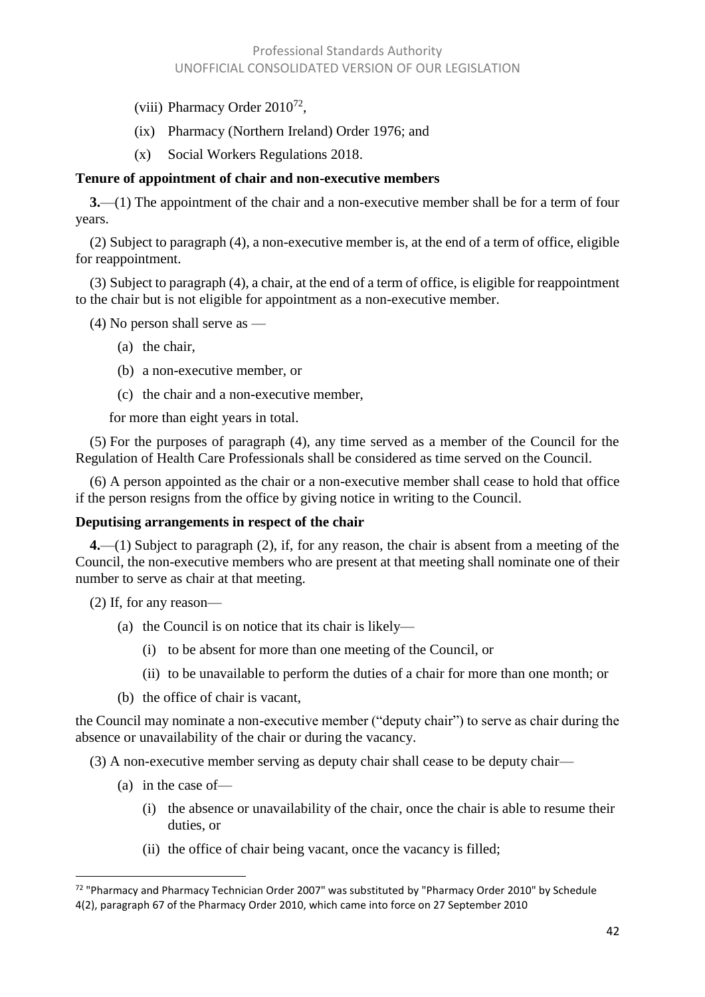- (viii) Pharmacy Order  $2010^{72}$ ,
- (ix) Pharmacy (Northern Ireland) Order 1976; and
- (x) Social Workers Regulations 2018.

#### **Tenure of appointment of chair and non-executive members**

**3.**—(1) The appointment of the chair and a non-executive member shall be for a term of four years.

(2) Subject to paragraph (4), a non-executive member is, at the end of a term of office, eligible for reappointment.

(3) Subject to paragraph (4), a chair, at the end of a term of office, is eligible for reappointment to the chair but is not eligible for appointment as a non-executive member.

(4) No person shall serve as —

- (a) the chair,
- (b) a non-executive member, or
- (c) the chair and a non-executive member,

for more than eight years in total.

(5) For the purposes of paragraph (4), any time served as a member of the Council for the Regulation of Health Care Professionals shall be considered as time served on the Council.

(6) A person appointed as the chair or a non-executive member shall cease to hold that office if the person resigns from the office by giving notice in writing to the Council.

#### **Deputising arrangements in respect of the chair**

**4.**—(1) Subject to paragraph (2), if, for any reason, the chair is absent from a meeting of the Council, the non-executive members who are present at that meeting shall nominate one of their number to serve as chair at that meeting.

(2) If, for any reason—

- (a) the Council is on notice that its chair is likely—
	- (i) to be absent for more than one meeting of the Council, or
	- (ii) to be unavailable to perform the duties of a chair for more than one month; or
- (b) the office of chair is vacant,

the Council may nominate a non-executive member ("deputy chair") to serve as chair during the absence or unavailability of the chair or during the vacancy.

(3) A non-executive member serving as deputy chair shall cease to be deputy chair—

- (a) in the case of—
	- (i) the absence or unavailability of the chair, once the chair is able to resume their duties, or
	- (ii) the office of chair being vacant, once the vacancy is filled;

l <sup>72</sup> "Pharmacy and Pharmacy Technician Order 2007" was substituted by "Pharmacy Order 2010" by Schedule 4(2), paragraph 67 of the Pharmacy Order 2010, which came into force on 27 September 2010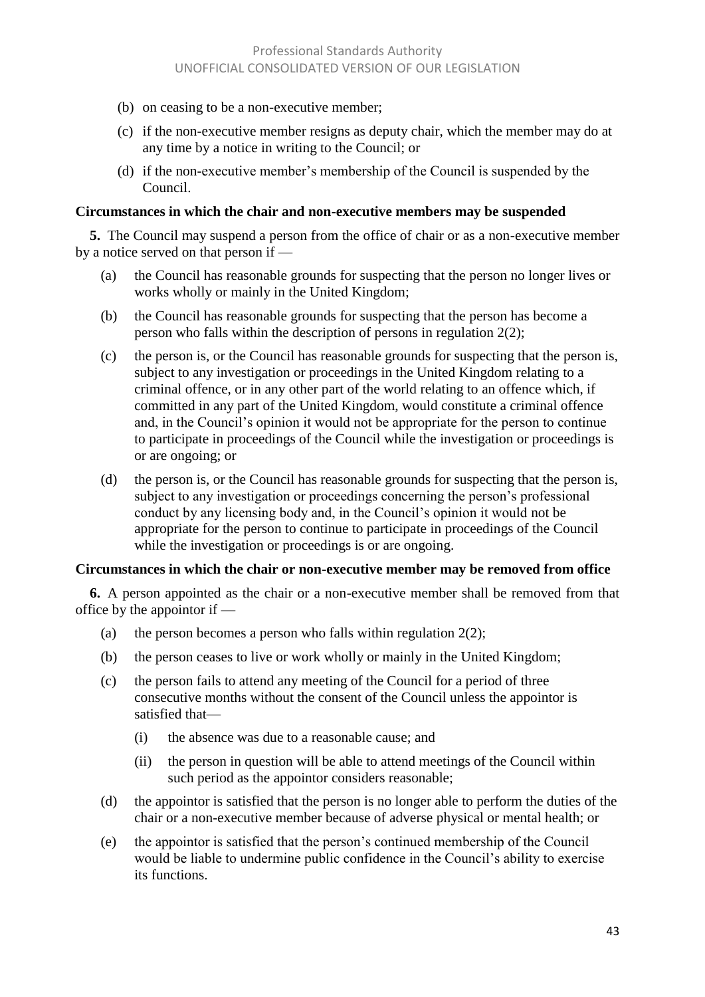- (b) on ceasing to be a non-executive member;
- (c) if the non-executive member resigns as deputy chair, which the member may do at any time by a notice in writing to the Council; or
- (d) if the non-executive member's membership of the Council is suspended by the Council.

#### **Circumstances in which the chair and non-executive members may be suspended**

**5.** The Council may suspend a person from the office of chair or as a non-executive member by a notice served on that person if —

- (a) the Council has reasonable grounds for suspecting that the person no longer lives or works wholly or mainly in the United Kingdom;
- (b) the Council has reasonable grounds for suspecting that the person has become a person who falls within the description of persons in regulation 2(2);
- (c) the person is, or the Council has reasonable grounds for suspecting that the person is, subject to any investigation or proceedings in the United Kingdom relating to a criminal offence, or in any other part of the world relating to an offence which, if committed in any part of the United Kingdom, would constitute a criminal offence and, in the Council's opinion it would not be appropriate for the person to continue to participate in proceedings of the Council while the investigation or proceedings is or are ongoing; or
- (d) the person is, or the Council has reasonable grounds for suspecting that the person is, subject to any investigation or proceedings concerning the person's professional conduct by any licensing body and, in the Council's opinion it would not be appropriate for the person to continue to participate in proceedings of the Council while the investigation or proceedings is or are ongoing.

#### **Circumstances in which the chair or non-executive member may be removed from office**

**6.** A person appointed as the chair or a non-executive member shall be removed from that office by the appointor if —

- (a) the person becomes a person who falls within regulation  $2(2)$ ;
- (b) the person ceases to live or work wholly or mainly in the United Kingdom;
- (c) the person fails to attend any meeting of the Council for a period of three consecutive months without the consent of the Council unless the appointor is satisfied that—
	- (i) the absence was due to a reasonable cause; and
	- (ii) the person in question will be able to attend meetings of the Council within such period as the appointor considers reasonable;
- (d) the appointor is satisfied that the person is no longer able to perform the duties of the chair or a non-executive member because of adverse physical or mental health; or
- (e) the appointor is satisfied that the person's continued membership of the Council would be liable to undermine public confidence in the Council's ability to exercise its functions.